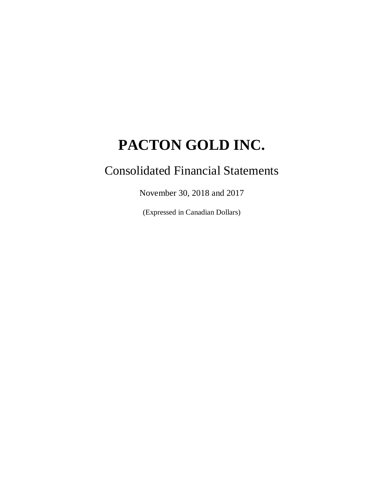## Consolidated Financial Statements

November 30, 2018 and 2017

(Expressed in Canadian Dollars)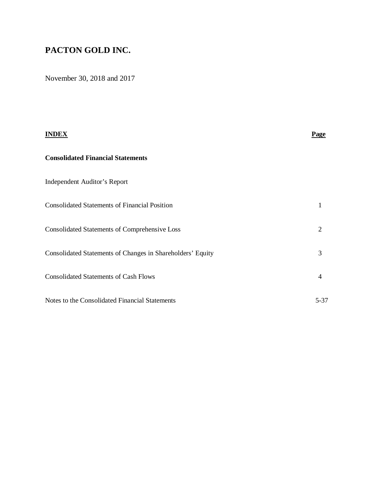November 30, 2018 and 2017

| <b>INDEX</b>                                               | <b>Page</b>    |
|------------------------------------------------------------|----------------|
| <b>Consolidated Financial Statements</b>                   |                |
| Independent Auditor's Report                               |                |
| <b>Consolidated Statements of Financial Position</b>       |                |
| Consolidated Statements of Comprehensive Loss              | $\overline{2}$ |
| Consolidated Statements of Changes in Shareholders' Equity | 3              |
| <b>Consolidated Statements of Cash Flows</b>               | $\overline{4}$ |
| Notes to the Consolidated Financial Statements             | $5 - 37$       |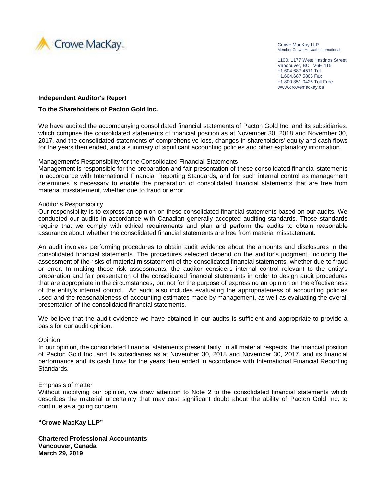

Crowe MacKay LLP Member Crowe Horwath International

1100, 1177 West Hastings Street Vancouver, BC V6E 4T5 +1.604.687.4511 Tel +1.604.687.5805 Fax +1.800.351.0426 Toll Free www.crowemackay.ca

#### **Independent Auditor's Report**

#### **To the Shareholders of Pacton Gold Inc.**

We have audited the accompanying consolidated financial statements of Pacton Gold Inc. and its subsidiaries, which comprise the consolidated statements of financial position as at November 30, 2018 and November 30, 2017, and the consolidated statements of comprehensive loss, changes in shareholders' equity and cash flows for the years then ended, and a summary of significant accounting policies and other explanatory information.

#### Management's Responsibility for the Consolidated Financial Statements

Management is responsible for the preparation and fair presentation of these consolidated financial statements in accordance with International Financial Reporting Standards, and for such internal control as management determines is necessary to enable the preparation of consolidated financial statements that are free from material misstatement, whether due to fraud or error.

#### Auditor's Responsibility

Our responsibility is to express an opinion on these consolidated financial statements based on our audits. We conducted our audits in accordance with Canadian generally accepted auditing standards. Those standards require that we comply with ethical requirements and plan and perform the audits to obtain reasonable assurance about whether the consolidated financial statements are free from material misstatement.

An audit involves performing procedures to obtain audit evidence about the amounts and disclosures in the consolidated financial statements. The procedures selected depend on the auditor's judgment, including the assessment of the risks of material misstatement of the consolidated financial statements, whether due to fraud or error. In making those risk assessments, the auditor considers internal control relevant to the entity's preparation and fair presentation of the consolidated financial statements in order to design audit procedures that are appropriate in the circumstances, but not for the purpose of expressing an opinion on the effectiveness of the entity's internal control. An audit also includes evaluating the appropriateness of accounting policies used and the reasonableness of accounting estimates made by management, as well as evaluating the overall presentation of the consolidated financial statements.

We believe that the audit evidence we have obtained in our audits is sufficient and appropriate to provide a basis for our audit opinion.

#### **Opinion**

In our opinion, the consolidated financial statements present fairly, in all material respects, the financial position of Pacton Gold Inc. and its subsidiaries as at November 30, 2018 and November 30, 2017, and its financial performance and its cash flows for the years then ended in accordance with International Financial Reporting Standards.

#### Emphasis of matter

Without modifying our opinion, we draw attention to Note 2 to the consolidated financial statements which describes the material uncertainty that may cast significant doubt about the ability of Pacton Gold Inc. to continue as a going concern.

#### **"Crowe MacKay LLP"**

**Chartered Professional Accountants Vancouver, Canada March 29, 2019**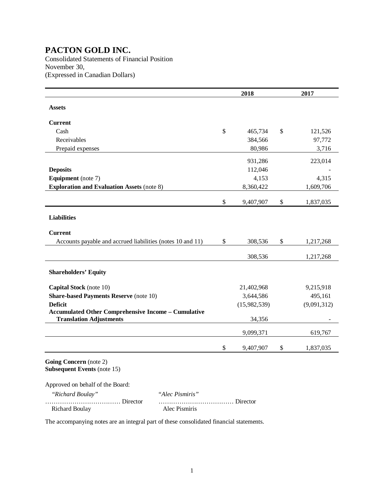Consolidated Statements of Financial Position November 30, (Expressed in Canadian Dollars)

|                                                            |      | 2018         |      | 2017        |
|------------------------------------------------------------|------|--------------|------|-------------|
| <b>Assets</b>                                              |      |              |      |             |
| <b>Current</b>                                             |      |              |      |             |
| Cash                                                       | $\$$ | 465,734      | \$   | 121,526     |
| Receivables                                                |      | 384,566      |      | 97,772      |
| Prepaid expenses                                           |      | 80,986       |      | 3,716       |
|                                                            |      | 931,286      |      | 223,014     |
| <b>Deposits</b>                                            |      | 112,046      |      |             |
| Equipment (note 7)                                         |      | 4,153        |      | 4,315       |
| <b>Exploration and Evaluation Assets (note 8)</b>          |      | 8,360,422    |      | 1,609,706   |
|                                                            |      |              |      |             |
|                                                            | $\$$ | 9,407,907    | $\$$ | 1,837,035   |
| <b>Liabilities</b>                                         |      |              |      |             |
|                                                            |      |              |      |             |
| <b>Current</b>                                             |      |              |      |             |
| Accounts payable and accrued liabilities (notes 10 and 11) | $\$$ | 308,536      | \$   | 1,217,268   |
|                                                            |      | 308,536      |      | 1,217,268   |
|                                                            |      |              |      |             |
| <b>Shareholders' Equity</b>                                |      |              |      |             |
| Capital Stock (note 10)                                    |      | 21,402,968   |      | 9,215,918   |
| <b>Share-based Payments Reserve (note 10)</b>              |      | 3,644,586    |      | 495,161     |
| <b>Deficit</b>                                             |      | (15,982,539) |      | (9,091,312) |
| <b>Accumulated Other Comprehensive Income - Cumulative</b> |      |              |      |             |
| <b>Translation Adjustments</b>                             |      | 34,356       |      |             |
|                                                            |      | 9,099,371    |      | 619,767     |
|                                                            | \$   | 9,407,907    | \$   | 1,837,035   |
| Going Concern (note 2)                                     |      |              |      |             |
| <b>Subsequent Events (note 15)</b>                         |      |              |      |             |
|                                                            |      |              |      |             |
| Approved on behalf of the Board:                           |      |              |      |             |

| "Richard Boulay" | <i>"Alec Pismiris"</i> |
|------------------|------------------------|
|                  |                        |
| Richard Boulay   | Alec Pismiris          |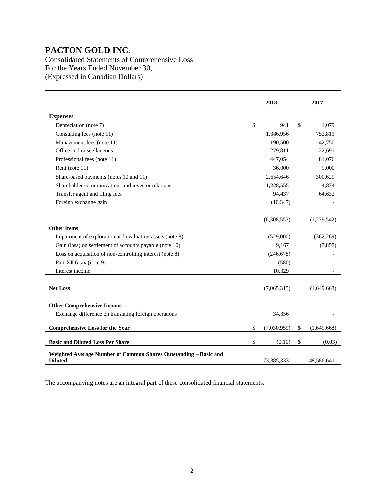Consolidated Statements of Comprehensive Loss For the Years Ended November 30, (Expressed in Canadian Dollars)

|                                                                                    | 2018              | 2017              |
|------------------------------------------------------------------------------------|-------------------|-------------------|
| <b>Expenses</b>                                                                    |                   |                   |
| Depreciation (note 7)                                                              | \$<br>941         | \$<br>1,079       |
| Consulting fees (note 11)                                                          | 1,386,956         | 752,811           |
| Management fees (note 11)                                                          | 190,500           | 42,750            |
| Office and miscellaneous                                                           | 279,811           | 22,691            |
| Professional fees (note 11)                                                        | 447,054           | 81,076            |
| Rent (note 11)                                                                     | 36,000            | 9,000             |
| Share-based payments (notes 10 and 11)                                             | 2,654,646         | 300,629           |
| Shareholder communications and investor relations                                  | 1,228,555         | 4,874             |
| Transfer agent and filing fees                                                     | 94,437            | 64,632            |
| Foreign exchange gain                                                              | (10, 347)         |                   |
| <b>Other Items</b>                                                                 | (6,308,553)       | (1,279,542)       |
| Impairment of exploration and evaluation assets (note 8)                           | (529,000)         | (362, 269)        |
| Gain (loss) on settlement of accounts payable (note 10)                            | 9,167             | (7, 857)          |
| Loss on acquisition of non-controlling interest (note 8)                           | (246, 678)        |                   |
| Part XII.6 tax (note 9)                                                            | (580)             |                   |
| Interest income                                                                    | 10,329            |                   |
| <b>Net Loss</b>                                                                    | (7,065,315)       | (1,649,668)       |
| <b>Other Comprehensive Income</b>                                                  |                   |                   |
| Exchange difference on translating foreign operations                              | 34,356            |                   |
| <b>Comprehensive Loss for the Year</b>                                             | \$<br>(7,030,959) | \$<br>(1,649,668) |
| <b>Basic and Diluted Loss Per Share</b>                                            | \$<br>(0.10)      | \$<br>(0.03)      |
| Weighted Average Number of Common Shares Outstanding - Basic and<br><b>Diluted</b> | 73,385,333        | 48,586,641        |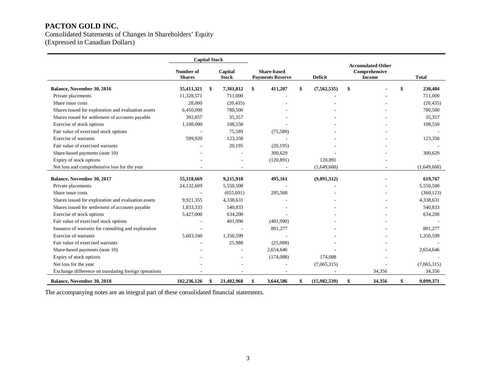Consolidated Statements of Changes in Shareholders' Equity (Expressed in Canadian Dollars)

|                                                       | <b>Capital Stock</b>       |    |                         |                                               |            |                    |                                                            |                 |
|-------------------------------------------------------|----------------------------|----|-------------------------|-----------------------------------------------|------------|--------------------|------------------------------------------------------------|-----------------|
|                                                       | Number of<br><b>Shares</b> |    | Capital<br><b>Stock</b> | <b>Share-based</b><br><b>Payments Reserve</b> |            | <b>Deficit</b>     | <b>Accumulated Other</b><br>Comprehensive<br><b>Income</b> | <b>Total</b>    |
| Balance, November 30, 2016                            | 35,411,321                 | \$ | 7,381,812               | \$                                            | 411,207    | \$<br>(7,562,535)  | \$                                                         | \$<br>230,484   |
| Private placements                                    | 11,328,571                 |    | 711,000                 |                                               |            |                    |                                                            | 711,000         |
| Share issue costs                                     | 28,000                     |    | (20, 435)               |                                               |            |                    |                                                            | (20, 435)       |
| Shares issued for exploration and evaluation assets   | 6,450,000                  |    | 780,500                 |                                               |            |                    |                                                            | 780,500         |
| Shares issued for settlement of accounts payable      | 392,857                    |    | 35,357                  |                                               |            |                    |                                                            | 35,357          |
| Exercise of stock options                             | 1,108,000                  |    | 108,550                 |                                               |            |                    |                                                            | 108,550         |
| Fair value of exercised stock options                 |                            |    | 75,589                  |                                               | (75, 589)  |                    |                                                            |                 |
| Exercise of warrants                                  | 599,920                    |    | 123,350                 |                                               |            |                    |                                                            | 123,350         |
| Fair value of exercised warrants                      |                            |    | 20,195                  |                                               | (20, 195)  |                    |                                                            |                 |
| Share-based payments (note 10)                        |                            |    |                         |                                               | 300,629    |                    |                                                            | 300,629         |
| Expiry of stock options                               |                            |    |                         |                                               | (120, 891) | 120,891            |                                                            |                 |
| Net loss and comprehensive loss for the year          |                            |    |                         |                                               |            | (1,649,668)        |                                                            | (1,649,668)     |
| Balance, November 30, 2017                            | 55,318,669                 |    | 9,215,918               |                                               | 495,161    | (9,091,312)        |                                                            | 619,767         |
| Private placements                                    | 24,132,609                 |    | 5,550,500               |                                               |            |                    |                                                            | 5,550,500       |
| Share issue costs                                     |                            |    | (655, 691)              |                                               | 295,568    |                    |                                                            | (360, 123)      |
| Shares issued for exploration and evaluation assets   | 9,921,355                  |    | 4,338,631               |                                               |            |                    |                                                            | 4,338,631       |
| Shares issued for settlement of accounts payable      | 1,833,333                  |    | 540,833                 |                                               |            |                    |                                                            | 540,833         |
| Exercise of stock options                             | 5,427,000                  |    | 634,200                 |                                               |            |                    |                                                            | 634,200         |
| Fair value of exercised stock options                 |                            |    | 401,990                 |                                               | (401,990)  |                    |                                                            |                 |
| Issuance of warrants for consulting and exploration   |                            |    |                         |                                               | 801,277    |                    |                                                            | 801,277         |
| Exercise of warrants                                  | 5,603,160                  |    | 1,350,599               |                                               |            |                    |                                                            |                 |
|                                                       |                            |    |                         |                                               |            |                    |                                                            | 1,350,599       |
| Fair value of exercised warrants                      |                            |    | 25,988                  |                                               | (25,988)   |                    |                                                            |                 |
| Share-based payments (note 10)                        |                            |    |                         |                                               | 2,654,646  |                    |                                                            | 2,654,646       |
| Expiry of stock options                               |                            |    |                         |                                               | (174, 088) | 174,088            |                                                            |                 |
| Net loss for the year                                 |                            |    |                         |                                               |            | (7,065,315)        |                                                            | (7,065,315)     |
| Exchange difference on translating foreign operations |                            |    |                         |                                               |            |                    | 34,356                                                     | 34,356          |
| Balance, November 30, 2018                            | 102,236,126                | \$ | 21,402,968              | \$                                            | 3,644,586  | \$<br>(15,982,539) | \$<br>34,356                                               | \$<br>9,099,371 |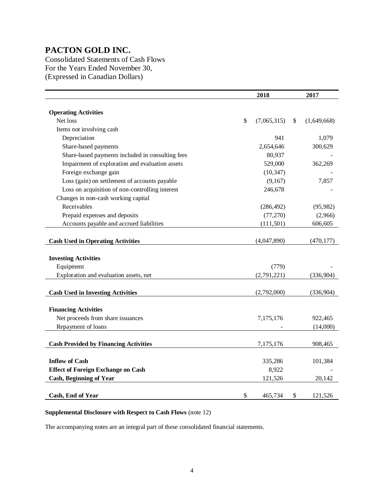Consolidated Statements of Cash Flows For the Years Ended November 30, (Expressed in Canadian Dollars)

|                                                  | 2018              | 2017              |
|--------------------------------------------------|-------------------|-------------------|
|                                                  |                   |                   |
| <b>Operating Activities</b>                      |                   |                   |
| Net loss                                         | \$<br>(7,065,315) | \$<br>(1,649,668) |
| Items not involving cash                         |                   |                   |
| Depreciation                                     | 941               | 1,079             |
| Share-based payments                             | 2,654,646         | 300,629           |
| Share-based payments included in consulting fees | 80,937            |                   |
| Impairment of exploration and evaluation assets  | 529,000           | 362,269           |
| Foreign exchange gain                            | (10, 347)         |                   |
| Loss (gain) on settlement of accounts payable    | (9,167)           | 7,857             |
| Loss on acquisition of non-controlling interest  | 246,678           |                   |
| Changes in non-cash working capital              |                   |                   |
| Receivables                                      | (286, 492)        | (95, 982)         |
| Prepaid expenses and deposits                    | (77, 270)         | (2,966)           |
| Accounts payable and accrued liabilities         | (111, 501)        | 606,605           |
|                                                  |                   |                   |
| <b>Cash Used in Operating Activities</b>         | (4,047,890)       | (470, 177)        |
|                                                  |                   |                   |
| <b>Investing Activities</b>                      |                   |                   |
| Equipment                                        | (779)             |                   |
| Exploration and evaluation assets, net           | (2,791,221)       | (336,904)         |
|                                                  |                   |                   |
| <b>Cash Used in Investing Activities</b>         | (2,792,000)       | (336,904)         |
|                                                  |                   |                   |
| <b>Financing Activities</b>                      |                   |                   |
| Net proceeds from share issuances                | 7,175,176         | 922,465           |
| Repayment of loans                               |                   | (14,000)          |
|                                                  |                   |                   |
| <b>Cash Provided by Financing Activities</b>     | 7,175,176         | 908,465           |
|                                                  |                   |                   |
| <b>Inflow of Cash</b>                            | 335,286           | 101,384           |
| <b>Effect of Foreign Exchange on Cash</b>        | 8,922             |                   |
| <b>Cash, Beginning of Year</b>                   | 121,526           | 20,142            |
|                                                  |                   |                   |
| Cash, End of Year                                | \$<br>465.734     | \$<br>121,526     |

#### **Supplemental Disclosure with Respect to Cash Flows** (note 12)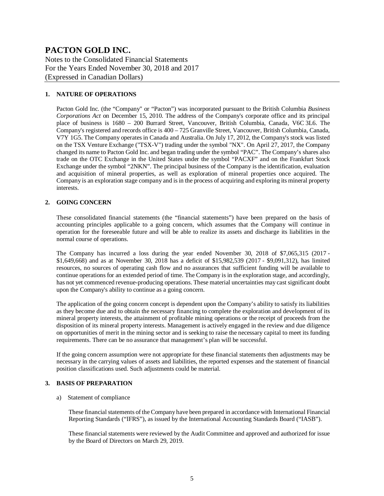Notes to the Consolidated Financial Statements For the Years Ended November 30, 2018 and 2017 (Expressed in Canadian Dollars)

#### **1. NATURE OF OPERATIONS**

Pacton Gold Inc. (the "Company" or "Pacton") was incorporated pursuant to the British Columbia *Business Corporations Act* on December 15, 2010. The address of the Company's corporate office and its principal place of business is 1680 – 200 Burrard Street, Vancouver, British Columbia, Canada, V6C 3L6. The Company's registered and records office is 400 – 725 Granville Street, Vancouver, British Columbia, Canada, V7Y 1G5. The Company operates in Canada and Australia. On July 17, 2012, the Company's stock was listed on the TSX Venture Exchange ("TSX-V") trading under the symbol "NX". On April 27, 2017, the Company changed its name to Pacton Gold Inc. and began trading under the symbol "PAC". The Company's shares also trade on the OTC Exchange in the United States under the symbol "PACXF" and on the Frankfurt Stock Exchange under the symbol "2NKN". The principal business of the Company is the identification, evaluation and acquisition of mineral properties, as well as exploration of mineral properties once acquired. The Company is an exploration stage company and is in the process of acquiring and exploring its mineral property interests.

#### **2. GOING CONCERN**

These consolidated financial statements (the "financial statements") have been prepared on the basis of accounting principles applicable to a going concern, which assumes that the Company will continue in operation for the foreseeable future and will be able to realize its assets and discharge its liabilities in the normal course of operations.

The Company has incurred a loss during the year ended November 30, 2018 of \$7,065,315 (2017 - \$1,649,668) and as at November 30, 2018 has a deficit of \$15,982,539 (2017 - \$9,091,312), has limited resources, no sources of operating cash flow and no assurances that sufficient funding will be available to continue operations for an extended period of time. The Company is in the exploration stage, and accordingly, has not yet commenced revenue-producing operations. These material uncertainties may cast significant doubt upon the Company's ability to continue as a going concern.

The application of the going concern concept is dependent upon the Company's ability to satisfy its liabilities as they become due and to obtain the necessary financing to complete the exploration and development of its mineral property interests, the attainment of profitable mining operations or the receipt of proceeds from the disposition of its mineral property interests. Management is actively engaged in the review and due diligence on opportunities of merit in the mining sector and is seeking to raise the necessary capital to meet its funding requirements. There can be no assurance that management's plan will be successful.

If the going concern assumption were not appropriate for these financial statements then adjustments may be necessary in the carrying values of assets and liabilities, the reported expenses and the statement of financial position classifications used. Such adjustments could be material.

#### **3. BASIS OF PREPARATION**

#### a) Statement of compliance

These financial statements of the Company have been prepared in accordance with International Financial Reporting Standards ("IFRS"), as issued by the International Accounting Standards Board ("IASB").

These financial statements were reviewed by the Audit Committee and approved and authorized for issue by the Board of Directors on March 29, 2019.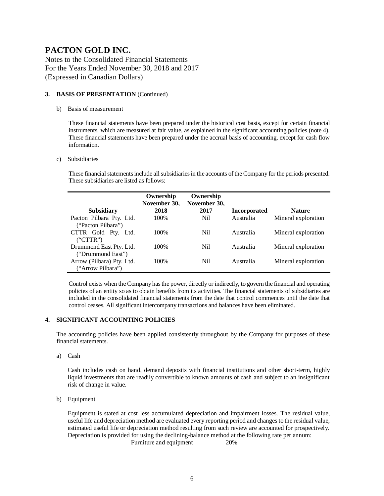Notes to the Consolidated Financial Statements For the Years Ended November 30, 2018 and 2017 (Expressed in Canadian Dollars)

#### **3. BASIS OF PRESENTATION** (Continued)

#### b) Basis of measurement

These financial statements have been prepared under the historical cost basis, except for certain financial instruments, which are measured at fair value, as explained in the significant accounting policies (note 4). These financial statements have been prepared under the accrual basis of accounting, except for cash flow information.

#### c) Subsidiaries

These financial statements include all subsidiaries in the accounts of the Company for the periods presented. These subsidiaries are listed as follows:

|                           | Ownership<br>November 30, | Ownership<br>November 30, |                     |                     |
|---------------------------|---------------------------|---------------------------|---------------------|---------------------|
| <b>Subsidiary</b>         | 2018                      | 2017                      | <b>Incorporated</b> | <b>Nature</b>       |
| Pacton Pilbara Pty. Ltd.  | 100%                      | Nil                       | Australia           | Mineral exploration |
| ("Pacton Pilbara")        |                           |                           |                     |                     |
| CTTR Gold Pty. Ltd.       | 100\%                     | Nil.                      | Australia           | Mineral exploration |
| ("CTTR")                  |                           |                           |                     |                     |
| Drummond East Pty. Ltd.   | 100\%                     | Nil                       | Australia           | Mineral exploration |
| ("Drummond East")         |                           |                           |                     |                     |
| Arrow (Pilbara) Pty. Ltd. | 100\%                     | Nil                       | Australia           | Mineral exploration |
| ("Arrow Pilbara")         |                           |                           |                     |                     |

Control exists when the Company has the power, directly or indirectly, to govern the financial and operating policies of an entity so as to obtain benefits from its activities. The financial statements of subsidiaries are included in the consolidated financial statements from the date that control commences until the date that control ceases. All significant intercompany transactions and balances have been eliminated.

#### **4. SIGNIFICANT ACCOUNTING POLICIES**

The accounting policies have been applied consistently throughout by the Company for purposes of these financial statements.

a) Cash

Cash includes cash on hand, demand deposits with financial institutions and other short-term, highly liquid investments that are readily convertible to known amounts of cash and subject to an insignificant risk of change in value.

b) Equipment

Equipment is stated at cost less accumulated depreciation and impairment losses. The residual value, useful life and depreciation method are evaluated every reporting period and changes to the residual value, estimated useful life or depreciation method resulting from such review are accounted for prospectively. Depreciation is provided for using the declining-balance method at the following rate per annum: Furniture and equipment 20%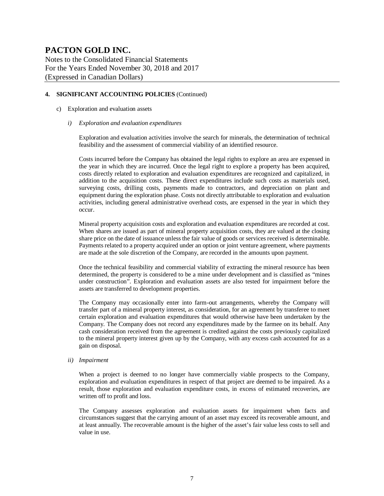Notes to the Consolidated Financial Statements For the Years Ended November 30, 2018 and 2017 (Expressed in Canadian Dollars)

#### **4. SIGNIFICANT ACCOUNTING POLICIES** (Continued)

- c) Exploration and evaluation assets
	- *i) Exploration and evaluation expenditures*

Exploration and evaluation activities involve the search for minerals, the determination of technical feasibility and the assessment of commercial viability of an identified resource.

Costs incurred before the Company has obtained the legal rights to explore an area are expensed in the year in which they are incurred. Once the legal right to explore a property has been acquired, costs directly related to exploration and evaluation expenditures are recognized and capitalized, in addition to the acquisition costs. These direct expenditures include such costs as materials used, surveying costs, drilling costs, payments made to contractors, and depreciation on plant and equipment during the exploration phase. Costs not directly attributable to exploration and evaluation activities, including general administrative overhead costs, are expensed in the year in which they occur.

Mineral property acquisition costs and exploration and evaluation expenditures are recorded at cost. When shares are issued as part of mineral property acquisition costs, they are valued at the closing share price on the date of issuance unless the fair value of goods or services received is determinable. Payments related to a property acquired under an option or joint venture agreement, where payments are made at the sole discretion of the Company, are recorded in the amounts upon payment.

Once the technical feasibility and commercial viability of extracting the mineral resource has been determined, the property is considered to be a mine under development and is classified as "mines under construction". Exploration and evaluation assets are also tested for impairment before the assets are transferred to development properties.

The Company may occasionally enter into farm-out arrangements, whereby the Company will transfer part of a mineral property interest, as consideration, for an agreement by transferee to meet certain exploration and evaluation expenditures that would otherwise have been undertaken by the Company. The Company does not record any expenditures made by the farmee on its behalf. Any cash consideration received from the agreement is credited against the costs previously capitalized to the mineral property interest given up by the Company, with any excess cash accounted for as a gain on disposal.

#### *ii) Impairment*

When a project is deemed to no longer have commercially viable prospects to the Company, exploration and evaluation expenditures in respect of that project are deemed to be impaired. As a result, those exploration and evaluation expenditure costs, in excess of estimated recoveries, are written off to profit and loss.

The Company assesses exploration and evaluation assets for impairment when facts and circumstances suggest that the carrying amount of an asset may exceed its recoverable amount, and at least annually. The recoverable amount is the higher of the asset's fair value less costs to sell and value in use.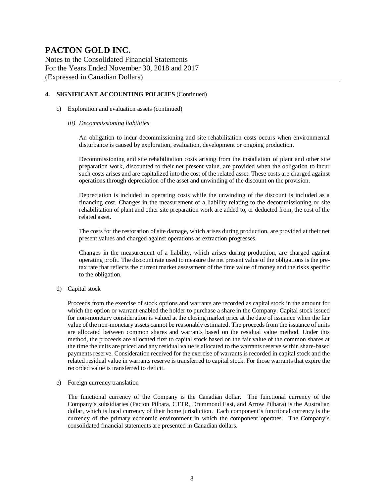Notes to the Consolidated Financial Statements For the Years Ended November 30, 2018 and 2017 (Expressed in Canadian Dollars)

#### **4. SIGNIFICANT ACCOUNTING POLICIES** (Continued)

- c) Exploration and evaluation assets (continued)
	- *iii) Decommissioning liabilities*

An obligation to incur decommissioning and site rehabilitation costs occurs when environmental disturbance is caused by exploration, evaluation, development or ongoing production.

Decommissioning and site rehabilitation costs arising from the installation of plant and other site preparation work, discounted to their net present value, are provided when the obligation to incur such costs arises and are capitalized into the cost of the related asset. These costs are charged against operations through depreciation of the asset and unwinding of the discount on the provision.

Depreciation is included in operating costs while the unwinding of the discount is included as a financing cost. Changes in the measurement of a liability relating to the decommissioning or site rehabilitation of plant and other site preparation work are added to, or deducted from, the cost of the related asset.

The costs for the restoration of site damage, which arises during production, are provided at their net present values and charged against operations as extraction progresses.

Changes in the measurement of a liability, which arises during production, are charged against operating profit. The discount rate used to measure the net present value of the obligations is the pretax rate that reflects the current market assessment of the time value of money and the risks specific to the obligation.

d) Capital stock

Proceeds from the exercise of stock options and warrants are recorded as capital stock in the amount for which the option or warrant enabled the holder to purchase a share in the Company. Capital stock issued for non-monetary consideration is valued at the closing market price at the date of issuance when the fair value of the non-monetary assets cannot be reasonably estimated. The proceeds from the issuance of units are allocated between common shares and warrants based on the residual value method. Under this method, the proceeds are allocated first to capital stock based on the fair value of the common shares at the time the units are priced and any residual value is allocated to the warrants reserve within share-based payments reserve. Consideration received for the exercise of warrants is recorded in capital stock and the related residual value in warrants reserve is transferred to capital stock. For those warrants that expire the recorded value is transferred to deficit.

e) Foreign currency translation

The functional currency of the Company is the Canadian dollar. The functional currency of the Company's subsidiaries (Pacton Pilbara, CTTR, Drummond East, and Arrow Pilbara) is the Australian dollar, which is local currency of their home jurisdiction. Each component's functional currency is the currency of the primary economic environment in which the component operates. The Company's consolidated financial statements are presented in Canadian dollars.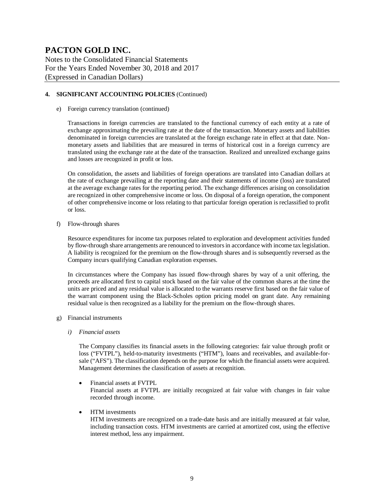Notes to the Consolidated Financial Statements For the Years Ended November 30, 2018 and 2017 (Expressed in Canadian Dollars)

#### **4. SIGNIFICANT ACCOUNTING POLICIES** (Continued)

e) Foreign currency translation (continued)

Transactions in foreign currencies are translated to the functional currency of each entity at a rate of exchange approximating the prevailing rate at the date of the transaction. Monetary assets and liabilities denominated in foreign currencies are translated at the foreign exchange rate in effect at that date. Nonmonetary assets and liabilities that are measured in terms of historical cost in a foreign currency are translated using the exchange rate at the date of the transaction. Realized and unrealized exchange gains and losses are recognized in profit or loss.

On consolidation, the assets and liabilities of foreign operations are translated into Canadian dollars at the rate of exchange prevailing at the reporting date and their statements of income (loss) are translated at the average exchange rates for the reporting period. The exchange differences arising on consolidation are recognized in other comprehensive income or loss. On disposal of a foreign operation, the component of other comprehensive income or loss relating to that particular foreign operation is reclassified to profit or loss.

f) Flow-through shares

Resource expenditures for income tax purposes related to exploration and development activities funded by flow-through share arrangements are renounced to investors in accordance with income tax legislation. A liability is recognized for the premium on the flow-through shares and is subsequently reversed as the Company incurs qualifying Canadian exploration expenses.

In circumstances where the Company has issued flow-through shares by way of a unit offering, the proceeds are allocated first to capital stock based on the fair value of the common shares at the time the units are priced and any residual value is allocated to the warrants reserve first based on the fair value of the warrant component using the Black-Scholes option pricing model on grant date. Any remaining residual value is then recognized as a liability for the premium on the flow-through shares.

- g) Financial instruments
	- *i) Financial assets*

The Company classifies its financial assets in the following categories: fair value through profit or loss ("FVTPL"), held-to-maturity investments ("HTM"), loans and receivables, and available-forsale ("AFS"). The classification depends on the purpose for which the financial assets were acquired. Management determines the classification of assets at recognition.

Financial assets at FVTPL

Financial assets at FVTPL are initially recognized at fair value with changes in fair value recorded through income.

• HTM investments

HTM investments are recognized on a trade-date basis and are initially measured at fair value, including transaction costs. HTM investments are carried at amortized cost, using the effective interest method, less any impairment.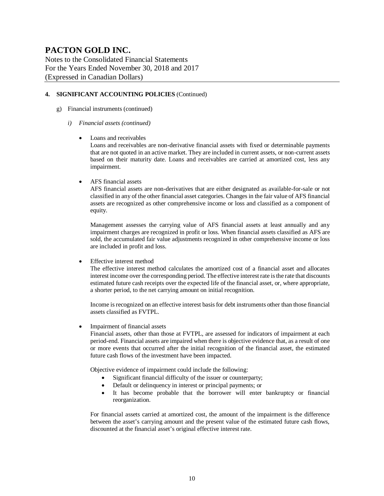Notes to the Consolidated Financial Statements For the Years Ended November 30, 2018 and 2017 (Expressed in Canadian Dollars)

#### **4. SIGNIFICANT ACCOUNTING POLICIES** (Continued)

- g) Financial instruments (continued)
	- *i) Financial assets (continued)*
		- Loans and receivables

Loans and receivables are non-derivative financial assets with fixed or determinable payments that are not quoted in an active market. They are included in current assets, or non-current assets based on their maturity date. Loans and receivables are carried at amortized cost, less any impairment.

AFS financial assets

AFS financial assets are non-derivatives that are either designated as available-for-sale or not classified in any of the other financial asset categories. Changes in the fair value of AFS financial assets are recognized as other comprehensive income or loss and classified as a component of equity.

Management assesses the carrying value of AFS financial assets at least annually and any impairment charges are recognized in profit or loss. When financial assets classified as AFS are sold, the accumulated fair value adjustments recognized in other comprehensive income or loss are included in profit and loss.

• Effective interest method

The effective interest method calculates the amortized cost of a financial asset and allocates interest income over the corresponding period. The effective interest rate is the rate that discounts estimated future cash receipts over the expected life of the financial asset, or, where appropriate, a shorter period, to the net carrying amount on initial recognition.

Income is recognized on an effective interest basis for debt instruments other than those financial assets classified as FVTPL.

• Impairment of financial assets

Financial assets, other than those at FVTPL, are assessed for indicators of impairment at each period-end. Financial assets are impaired when there is objective evidence that, as a result of one or more events that occurred after the initial recognition of the financial asset, the estimated future cash flows of the investment have been impacted.

Objective evidence of impairment could include the following:

- Significant financial difficulty of the issuer or counterparty;
- Default or delinquency in interest or principal payments; or
- It has become probable that the borrower will enter bankruptcy or financial reorganization.

For financial assets carried at amortized cost, the amount of the impairment is the difference between the asset's carrying amount and the present value of the estimated future cash flows, discounted at the financial asset's original effective interest rate.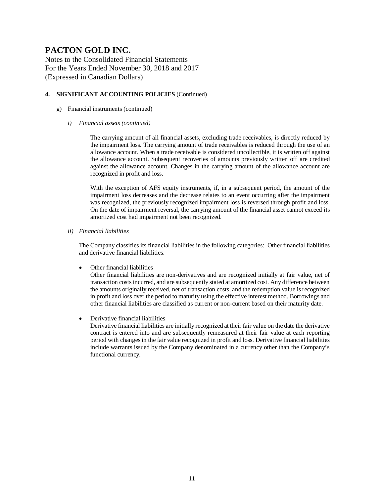Notes to the Consolidated Financial Statements For the Years Ended November 30, 2018 and 2017 (Expressed in Canadian Dollars)

#### **4. SIGNIFICANT ACCOUNTING POLICIES** (Continued)

- g) Financial instruments (continued)
	- *i) Financial assets (continued)*

The carrying amount of all financial assets, excluding trade receivables, is directly reduced by the impairment loss. The carrying amount of trade receivables is reduced through the use of an allowance account. When a trade receivable is considered uncollectible, it is written off against the allowance account. Subsequent recoveries of amounts previously written off are credited against the allowance account. Changes in the carrying amount of the allowance account are recognized in profit and loss.

With the exception of AFS equity instruments, if, in a subsequent period, the amount of the impairment loss decreases and the decrease relates to an event occurring after the impairment was recognized, the previously recognized impairment loss is reversed through profit and loss. On the date of impairment reversal, the carrying amount of the financial asset cannot exceed its amortized cost had impairment not been recognized.

*ii) Financial liabilities*

The Company classifies its financial liabilities in the following categories: Other financial liabilities and derivative financial liabilities.

Other financial liabilities

Other financial liabilities are non-derivatives and are recognized initially at fair value, net of transaction costs incurred, and are subsequently stated at amortized cost. Any difference between the amounts originally received, net of transaction costs, and the redemption value is recognized in profit and loss over the period to maturity using the effective interest method. Borrowings and other financial liabilities are classified as current or non-current based on their maturity date.

• Derivative financial liabilities

Derivative financial liabilities are initially recognized at their fair value on the date the derivative contract is entered into and are subsequently remeasured at their fair value at each reporting period with changes in the fair value recognized in profit and loss. Derivative financial liabilities include warrants issued by the Company denominated in a currency other than the Company's functional currency.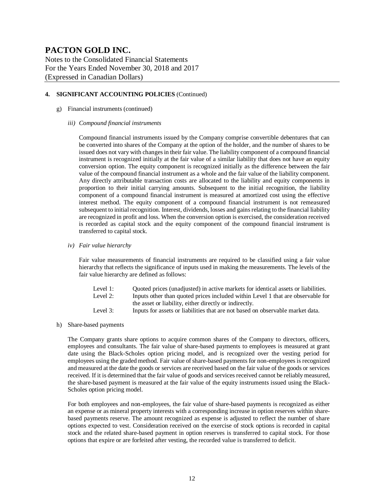Notes to the Consolidated Financial Statements For the Years Ended November 30, 2018 and 2017 (Expressed in Canadian Dollars)

#### **4. SIGNIFICANT ACCOUNTING POLICIES** (Continued)

- g) Financial instruments (continued)
	- *iii) Compound financial instruments*

Compound financial instruments issued by the Company comprise convertible debentures that can be converted into shares of the Company at the option of the holder, and the number of shares to be issued does not vary with changes in their fair value. The liability component of a compound financial instrument is recognized initially at the fair value of a similar liability that does not have an equity conversion option. The equity component is recognized initially as the difference between the fair value of the compound financial instrument as a whole and the fair value of the liability component. Any directly attributable transaction costs are allocated to the liability and equity components in proportion to their initial carrying amounts. Subsequent to the initial recognition, the liability component of a compound financial instrument is measured at amortized cost using the effective interest method. The equity component of a compound financial instrument is not remeasured subsequent to initial recognition. Interest, dividends, losses and gains relating to the financial liability are recognized in profit and loss. When the conversion option is exercised, the consideration received is recorded as capital stock and the equity component of the compound financial instrument is transferred to capital stock.

*iv) Fair value hierarchy*

Fair value measurements of financial instruments are required to be classified using a fair value hierarchy that reflects the significance of inputs used in making the measurements. The levels of the fair value hierarchy are defined as follows:

| Level 1: | Quoted prices (unadjusted) in active markets for identical assets or liabilities. |
|----------|-----------------------------------------------------------------------------------|
| Level 2: | Inputs other than quoted prices included within Level 1 that are observable for   |
|          | the asset or liability, either directly or indirectly.                            |
| Level 3: | Inputs for assets or liabilities that are not based on observable market data.    |

h) Share-based payments

The Company grants share options to acquire common shares of the Company to directors, officers, employees and consultants. The fair value of share-based payments to employees is measured at grant date using the Black-Scholes option pricing model, and is recognized over the vesting period for employees using the graded method. Fair value of share-based payments for non-employees is recognized and measured at the date the goods or services are received based on the fair value of the goods or services received. If it is determined that the fair value of goods and services received cannot be reliably measured, the share-based payment is measured at the fair value of the equity instruments issued using the Black-Scholes option pricing model.

For both employees and non-employees, the fair value of share-based payments is recognized as either an expense or as mineral property interests with a corresponding increase in option reserves within sharebased payments reserve. The amount recognized as expense is adjusted to reflect the number of share options expected to vest. Consideration received on the exercise of stock options is recorded in capital stock and the related share-based payment in option reserves is transferred to capital stock. For those options that expire or are forfeited after vesting, the recorded value is transferred to deficit.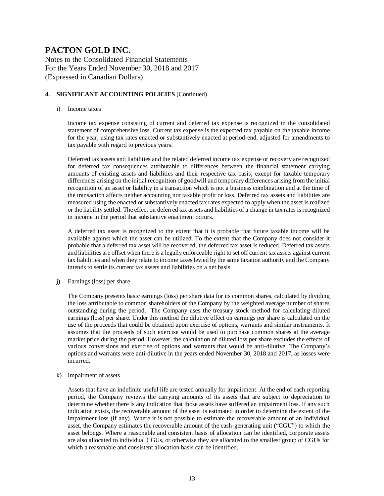Notes to the Consolidated Financial Statements For the Years Ended November 30, 2018 and 2017 (Expressed in Canadian Dollars)

#### **4. SIGNIFICANT ACCOUNTING POLICIES** (Continued)

#### i) Income taxes

Income tax expense consisting of current and deferred tax expense is recognized in the consolidated statement of comprehensive loss. Current tax expense is the expected tax payable on the taxable income for the year, using tax rates enacted or substantively enacted at period-end, adjusted for amendments to tax payable with regard to previous years.

Deferred tax assets and liabilities and the related deferred income tax expense or recovery are recognized for deferred tax consequences attributable to differences between the financial statement carrying amounts of existing assets and liabilities and their respective tax basis, except for taxable temporary differences arising on the initial recognition of goodwill and temporary differences arising from the initial recognition of an asset or liability in a transaction which is not a business combination and at the time of the transaction affects neither accounting nor taxable profit or loss. Deferred tax assets and liabilities are measured using the enacted or substantively enacted tax rates expected to apply when the asset is realized or the liability settled. The effect on deferred tax assets and liabilities of a change in tax rates is recognized in income in the period that substantive enactment occurs.

A deferred tax asset is recognized to the extent that it is probable that future taxable income will be available against which the asset can be utilized. To the extent that the Company does not consider it probable that a deferred tax asset will be recovered, the deferred tax asset is reduced. Deferred tax assets and liabilities are offset when there is a legally enforceable right to set off current tax assets against current tax liabilities and when they relate to income taxes levied by the same taxation authority and the Company intends to settle its current tax assets and liabilities on a net basis.

#### j) Earnings (loss) per share

The Company presents basic earnings (loss) per share data for its common shares, calculated by dividing the loss attributable to common shareholders of the Company by the weighted average number of shares outstanding during the period. The Company uses the treasury stock method for calculating diluted earnings (loss) per share. Under this method the dilutive effect on earnings per share is calculated on the use of the proceeds that could be obtained upon exercise of options, warrants and similar instruments. It assumes that the proceeds of such exercise would be used to purchase common shares at the average market price during the period. However, the calculation of diluted loss per share excludes the effects of various conversions and exercise of options and warrants that would be anti-dilutive. The Company's options and warrants were anti-dilutive in the years ended November 30, 2018 and 2017, as losses were incurred.

k) Impairment of assets

Assets that have an indefinite useful life are tested annually for impairment. At the end of each reporting period, the Company reviews the carrying amounts of its assets that are subject to depreciation to determine whether there is any indication that those assets have suffered an impairment loss. If any such indication exists, the recoverable amount of the asset is estimated in order to determine the extent of the impairment loss (if any). Where it is not possible to estimate the recoverable amount of an individual asset, the Company estimates the recoverable amount of the cash-generating unit ("CGU") to which the asset belongs. Where a reasonable and consistent basis of allocation can be identified, corporate assets are also allocated to individual CGUs, or otherwise they are allocated to the smallest group of CGUs for which a reasonable and consistent allocation basis can be identified.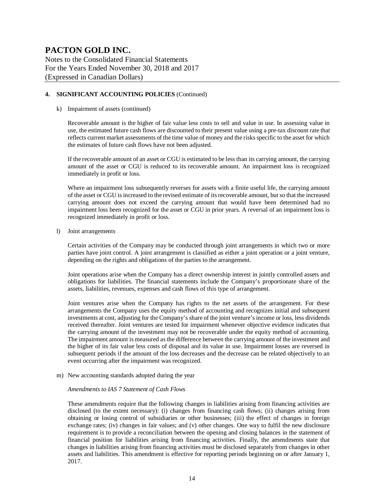Notes to the Consolidated Financial Statements For the Years Ended November 30, 2018 and 2017 (Expressed in Canadian Dollars)

#### **4. SIGNIFICANT ACCOUNTING POLICIES** (Continued)

#### k) Impairment of assets (continued)

Recoverable amount is the higher of fair value less costs to sell and value in use. In assessing value in use, the estimated future cash flows are discounted to their present value using a pre-tax discount rate that reflects current market assessments of the time value of money and the risks specific to the asset for which the estimates of future cash flows have not been adjusted.

If the recoverable amount of an asset or CGU is estimated to be less than its carrying amount, the carrying amount of the asset or CGU is reduced to its recoverable amount. An impairment loss is recognized immediately in profit or loss.

Where an impairment loss subsequently reverses for assets with a finite useful life, the carrying amount of the asset or CGU is increased to the revised estimate of its recoverable amount, but so that the increased carrying amount does not exceed the carrying amount that would have been determined had no impairment loss been recognized for the asset or CGU in prior years. A reversal of an impairment loss is recognized immediately in profit or loss.

#### l) Joint arrangements

Certain activities of the Company may be conducted through joint arrangements in which two or more parties have joint control. A joint arrangement is classified as either a joint operation or a joint venture, depending on the rights and obligations of the parties to the arrangement.

Joint operations arise when the Company has a direct ownership interest in jointly controlled assets and obligations for liabilities. The financial statements include the Company's proportionate share of the assets, liabilities, revenues, expenses and cash flows of this type of arrangement.

Joint ventures arise when the Company has rights to the net assets of the arrangement. For these arrangements the Company uses the equity method of accounting and recognizes initial and subsequent investments at cost, adjusting for the Company's share of the joint venture's income or loss, less dividends received thereafter. Joint ventures are tested for impairment whenever objective evidence indicates that the carrying amount of the investment may not be recoverable under the equity method of accounting. The impairment amount is measured as the difference between the carrying amount of the investment and the higher of its fair value less costs of disposal and its value in use. Impairment losses are reversed in subsequent periods if the amount of the loss decreases and the decrease can be related objectively to an event occurring after the impairment was recognized.

m) New accounting standards adopted during the year

#### *Amendments to IAS 7 Statement of Cash Flows*

These amendments require that the following changes in liabilities arising from financing activities are disclosed (to the extent necessary): (i) changes from financing cash flows; (ii) changes arising from obtaining or losing control of subsidiaries or other businesses; (iii) the effect of changes in foreign exchange rates; (iv) changes in fair values; and (v) other changes. One way to fulfil the new disclosure requirement is to provide a reconciliation between the opening and closing balances in the statement of financial position for liabilities arising from financing activities. Finally, the amendments state that changes in liabilities arising from financing activities must be disclosed separately from changes in other assets and liabilities. This amendment is effective for reporting periods beginning on or after January 1, 2017.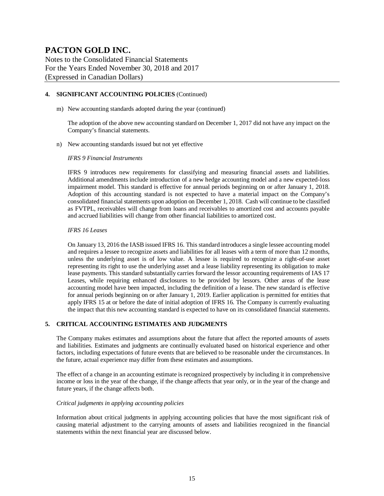Notes to the Consolidated Financial Statements For the Years Ended November 30, 2018 and 2017 (Expressed in Canadian Dollars)

#### **4. SIGNIFICANT ACCOUNTING POLICIES** (Continued)

m) New accounting standards adopted during the year (continued)

The adoption of the above new accounting standard on December 1, 2017 did not have any impact on the Company's financial statements.

n) New accounting standards issued but not yet effective

#### *IFRS 9 Financial Instruments*

IFRS 9 introduces new requirements for classifying and measuring financial assets and liabilities. Additional amendments include introduction of a new hedge accounting model and a new expected-loss impairment model. This standard is effective for annual periods beginning on or after January 1, 2018. Adoption of this accounting standard is not expected to have a material impact on the Company's consolidated financial statements upon adoption on December 1, 2018. Cash will continue to be classified as FVTPL, receivables will change from loans and receivables to amortized cost and accounts payable and accrued liabilities will change from other financial liabilities to amortized cost.

#### *IFRS 16 Leases*

On January 13, 2016 the IASB issued IFRS 16. This standard introduces a single lessee accounting model and requires a lessee to recognize assets and liabilities for all leases with a term of more than 12 months, unless the underlying asset is of low value. A lessee is required to recognize a right-of-use asset representing its right to use the underlying asset and a lease liability representing its obligation to make lease payments. This standard substantially carries forward the lessor accounting requirements of IAS 17 Leases, while requiring enhanced disclosures to be provided by lessors. Other areas of the lease accounting model have been impacted, including the definition of a lease. The new standard is effective for annual periods beginning on or after January 1, 2019. Earlier application is permitted for entities that apply IFRS 15 at or before the date of initial adoption of IFRS 16. The Company is currently evaluating the impact that this new accounting standard is expected to have on its consolidated financial statements.

#### **5. CRITICAL ACCOUNTING ESTIMATES AND JUDGMENTS**

The Company makes estimates and assumptions about the future that affect the reported amounts of assets and liabilities. Estimates and judgments are continually evaluated based on historical experience and other factors, including expectations of future events that are believed to be reasonable under the circumstances. In the future, actual experience may differ from these estimates and assumptions.

The effect of a change in an accounting estimate is recognized prospectively by including it in comprehensive income or loss in the year of the change, if the change affects that year only, or in the year of the change and future years, if the change affects both.

#### *Critical judgments in applying accounting policies*

Information about critical judgments in applying accounting policies that have the most significant risk of causing material adjustment to the carrying amounts of assets and liabilities recognized in the financial statements within the next financial year are discussed below.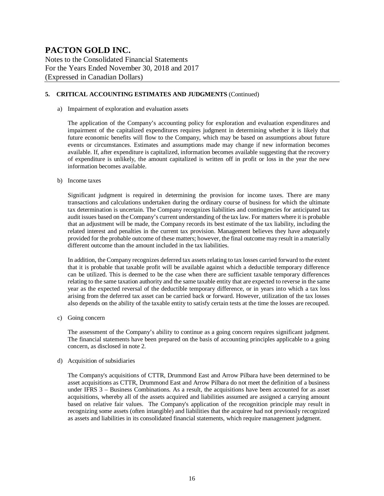Notes to the Consolidated Financial Statements For the Years Ended November 30, 2018 and 2017 (Expressed in Canadian Dollars)

#### **5. CRITICAL ACCOUNTING ESTIMATES AND JUDGMENTS** (Continued)

a) Impairment of exploration and evaluation assets

The application of the Company's accounting policy for exploration and evaluation expenditures and impairment of the capitalized expenditures requires judgment in determining whether it is likely that future economic benefits will flow to the Company, which may be based on assumptions about future events or circumstances. Estimates and assumptions made may change if new information becomes available. If, after expenditure is capitalized, information becomes available suggesting that the recovery of expenditure is unlikely, the amount capitalized is written off in profit or loss in the year the new information becomes available.

b) Income taxes

Significant judgment is required in determining the provision for income taxes. There are many transactions and calculations undertaken during the ordinary course of business for which the ultimate tax determination is uncertain. The Company recognizes liabilities and contingencies for anticipated tax audit issues based on the Company's current understanding of the tax law. For matters where it is probable that an adjustment will be made, the Company records its best estimate of the tax liability, including the related interest and penalties in the current tax provision. Management believes they have adequately provided for the probable outcome of these matters; however, the final outcome may result in a materially different outcome than the amount included in the tax liabilities.

In addition, the Company recognizes deferred tax assets relating to tax losses carried forward to the extent that it is probable that taxable profit will be available against which a deductible temporary difference can be utilized. This is deemed to be the case when there are sufficient taxable temporary differences relating to the same taxation authority and the same taxable entity that are expected to reverse in the same year as the expected reversal of the deductible temporary difference, or in years into which a tax loss arising from the deferred tax asset can be carried back or forward. However, utilization of the tax losses also depends on the ability of the taxable entity to satisfy certain tests at the time the losses are recouped.

c) Going concern

The assessment of the Company's ability to continue as a going concern requires significant judgment. The financial statements have been prepared on the basis of accounting principles applicable to a going concern, as disclosed in note 2.

d) Acquisition of subsidiaries

The Company's acquisitions of CTTR, Drummond East and Arrow Pilbara have been determined to be asset acquisitions as CTTR, Drummond East and Arrow Pilbara do not meet the definition of a business under IFRS 3 – Business Combinations. As a result, the acquisitions have been accounted for as asset acquisitions, whereby all of the assets acquired and liabilities assumed are assigned a carrying amount based on relative fair values. The Company's application of the recognition principle may result in recognizing some assets (often intangible) and liabilities that the acquiree had not previously recognized as assets and liabilities in its consolidated financial statements, which require management judgment.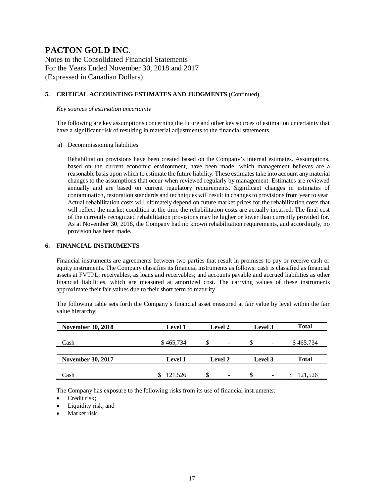Notes to the Consolidated Financial Statements For the Years Ended November 30, 2018 and 2017 (Expressed in Canadian Dollars)

#### **5. CRITICAL ACCOUNTING ESTIMATES AND JUDGMENTS** (Continued)

#### *Key sources of estimation uncertainty*

The following are key assumptions concerning the future and other key sources of estimation uncertainty that have a significant risk of resulting in material adjustments to the financial statements.

a) Decommissioning liabilities

Rehabilitation provisions have been created based on the Company's internal estimates. Assumptions, based on the current economic environment, have been made, which management believes are a reasonable basis upon which to estimate the future liability. These estimates take into account any material changes to the assumptions that occur when reviewed regularly by management. Estimates are reviewed annually and are based on current regulatory requirements. Significant changes in estimates of contamination, restoration standards and techniques will result in changes to provisions from year to year. Actual rehabilitation costs will ultimately depend on future market prices for the rehabilitation costs that will reflect the market condition at the time the rehabilitation costs are actually incurred. The final cost of the currently recognized rehabilitation provisions may be higher or lower than currently provided for. As at November 30, 2018, the Company had no known rehabilitation requirements, and accordingly, no provision has been made.

#### **6. FINANCIAL INSTRUMENTS**

Financial instruments are agreements between two parties that result in promises to pay or receive cash or equity instruments. The Company classifies its financial instruments as follows: cash is classified as financial assets at FVTPL; receivables, as loans and receivables; and accounts payable and accrued liabilities as other financial liabilities, which are measured at amortized cost. The carrying values of these instruments approximate their fair values due to their short term to maturity.

The following table sets forth the Company's financial asset measured at fair value by level within the fair value hierarchy:

| <b>November 30, 2018</b> | <b>Level 1</b> | Level 2                  | Level 3                              | <b>Total</b> |
|--------------------------|----------------|--------------------------|--------------------------------------|--------------|
|                          |                |                          |                                      |              |
| Cash                     | \$465,734      | $\overline{\phantom{a}}$ | \$.<br>-                             | \$465,734    |
|                          |                |                          |                                      |              |
| <b>November 30, 2017</b> | <b>Level 1</b> | Level 2                  | Level 3                              | <b>Total</b> |
|                          |                |                          |                                      |              |
| Cash                     | 121.526        | $\overline{\phantom{a}}$ | <b>S</b><br>$\overline{\phantom{a}}$ | 121.526      |

The Company has exposure to the following risks from its use of financial instruments:

- Credit risk;
- Liquidity risk; and
- Market risk.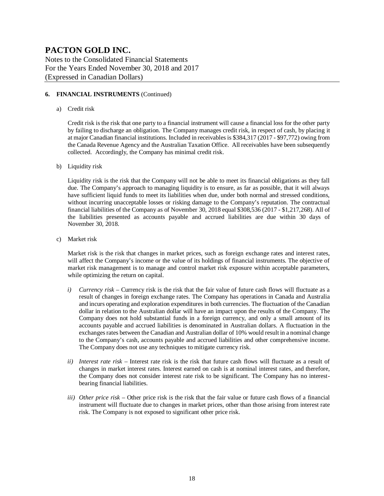Notes to the Consolidated Financial Statements For the Years Ended November 30, 2018 and 2017 (Expressed in Canadian Dollars)

#### **6. FINANCIAL INSTRUMENTS** (Continued)

a) Credit risk

Credit risk is the risk that one party to a financial instrument will cause a financial loss for the other party by failing to discharge an obligation. The Company manages credit risk, in respect of cash, by placing it at major Canadian financial institutions. Included in receivables is \$384,317 (2017 - \$97,772) owing from the Canada Revenue Agency and the Australian Taxation Office. All receivables have been subsequently collected. Accordingly, the Company has minimal credit risk.

b) Liquidity risk

Liquidity risk is the risk that the Company will not be able to meet its financial obligations as they fall due. The Company's approach to managing liquidity is to ensure, as far as possible, that it will always have sufficient liquid funds to meet its liabilities when due, under both normal and stressed conditions, without incurring unacceptable losses or risking damage to the Company's reputation. The contractual financial liabilities of the Company as of November 30, 2018 equal \$308,536 (2017 - \$1,217,268). All of the liabilities presented as accounts payable and accrued liabilities are due within 30 days of November 30, 2018.

c) Market risk

Market risk is the risk that changes in market prices, such as foreign exchange rates and interest rates, will affect the Company's income or the value of its holdings of financial instruments. The objective of market risk management is to manage and control market risk exposure within acceptable parameters, while optimizing the return on capital.

- *i) Currency risk –* Currency risk is the risk that the fair value of future cash flows will fluctuate as a result of changes in foreign exchange rates. The Company has operations in Canada and Australia and incurs operating and exploration expenditures in both currencies. The fluctuation of the Canadian dollar in relation to the Australian dollar will have an impact upon the results of the Company. The Company does not hold substantial funds in a foreign currency, and only a small amount of its accounts payable and accrued liabilities is denominated in Australian dollars. A fluctuation in the exchanges rates between the Canadian and Australian dollar of 10% would result in a nominal change to the Company's cash, accounts payable and accrued liabilities and other comprehensive income. The Company does not use any techniques to mitigate currency risk.
- *ii) Interest rate risk –* Interest rate risk is the risk that future cash flows will fluctuate as a result of changes in market interest rates. Interest earned on cash is at nominal interest rates, and therefore, the Company does not consider interest rate risk to be significant. The Company has no interestbearing financial liabilities.
- *iii) Other price risk –* Other price risk is the risk that the fair value or future cash flows of a financial instrument will fluctuate due to changes in market prices, other than those arising from interest rate risk. The Company is not exposed to significant other price risk.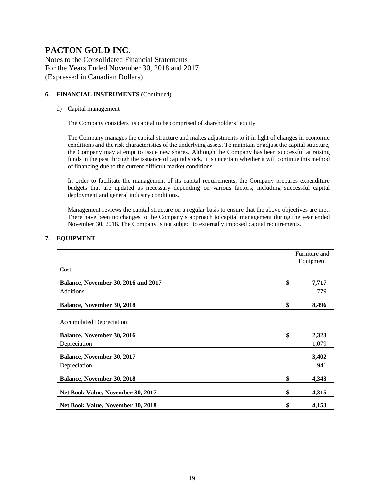Notes to the Consolidated Financial Statements For the Years Ended November 30, 2018 and 2017 (Expressed in Canadian Dollars)

#### **6. FINANCIAL INSTRUMENTS** (Continued)

#### d) Capital management

The Company considers its capital to be comprised of shareholders' equity.

The Company manages the capital structure and makes adjustments to it in light of changes in economic conditions and the risk characteristics of the underlying assets. To maintain or adjust the capital structure, the Company may attempt to issue new shares. Although the Company has been successful at raising funds in the past through the issuance of capital stock, it is uncertain whether it will continue this method of financing due to the current difficult market conditions.

In order to facilitate the management of its capital requirements, the Company prepares expenditure budgets that are updated as necessary depending on various factors, including successful capital deployment and general industry conditions.

Management reviews the capital structure on a regular basis to ensure that the above objectives are met. There have been no changes to the Company's approach to capital management during the year ended November 30, 2018. The Company is not subject to externally imposed capital requirements.

#### **7. EQUIPMENT**

|                                                         | Furniture and<br>Equipment |  |
|---------------------------------------------------------|----------------------------|--|
| Cost                                                    |                            |  |
| <b>Balance, November 30, 2016 and 2017</b><br>Additions | \$<br>7,717<br>779         |  |
| <b>Balance, November 30, 2018</b>                       | \$<br>8,496                |  |
| <b>Accumulated Depreciation</b>                         |                            |  |
| Balance, November 30, 2016                              | \$<br>2,323                |  |
| Depreciation                                            | 1,079                      |  |
| <b>Balance, November 30, 2017</b><br>Depreciation       | 3,402<br>941               |  |
| <b>Balance, November 30, 2018</b>                       | \$<br>4,343                |  |
| Net Book Value, November 30, 2017                       | \$<br>4,315                |  |
| Net Book Value, November 30, 2018                       | \$<br>4,153                |  |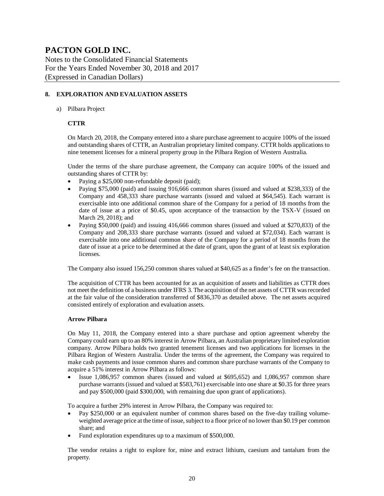Notes to the Consolidated Financial Statements For the Years Ended November 30, 2018 and 2017 (Expressed in Canadian Dollars)

#### **8. EXPLORATION AND EVALUATION ASSETS**

#### a) Pilbara Project

#### **CTTR**

On March 20, 2018, the Company entered into a share purchase agreement to acquire 100% of the issued and outstanding shares of CTTR, an Australian proprietary limited company. CTTR holds applications to nine tenement licenses for a mineral property group in the Pilbara Region of Western Australia.

Under the terms of the share purchase agreement, the Company can acquire 100% of the issued and outstanding shares of CTTR by:

- Paying a \$25,000 non-refundable deposit (paid);
- Paying \$75,000 (paid) and issuing 916,666 common shares (issued and valued at \$238,333) of the Company and 458,333 share purchase warrants (issued and valued at \$64,545). Each warrant is exercisable into one additional common share of the Company for a period of 18 months from the date of issue at a price of \$0.45, upon acceptance of the transaction by the TSX-V (issued on March 29, 2018); and
- Paying \$50,000 (paid) and issuing 416,666 common shares (issued and valued at \$270,833) of the Company and 208,333 share purchase warrants (issued and valued at \$72,034). Each warrant is exercisable into one additional common share of the Company for a period of 18 months from the date of issue at a price to be determined at the date of grant, upon the grant of at least six exploration licenses.

The Company also issued 156,250 common shares valued at \$40,625 as a finder's fee on the transaction.

The acquisition of CTTR has been accounted for as an acquisition of assets and liabilities as CTTR does not meet the definition of a business under IFRS 3. The acquisition of the net assets of CTTR wasrecorded at the fair value of the consideration transferred of \$836,370 as detailed above. The net assets acquired consisted entirely of exploration and evaluation assets.

#### **Arrow Pilbara**

On May 11, 2018, the Company entered into a share purchase and option agreement whereby the Company could earn up to an 80% interest in Arrow Pilbara, an Australian proprietary limited exploration company. Arrow Pilbara holds two granted tenement licenses and two applications for licenses in the Pilbara Region of Western Australia. Under the terms of the agreement, the Company was required to make cash payments and issue common shares and common share purchase warrants of the Company to acquire a 51% interest in Arrow Pilbara as follows:

• Issue 1,086,957 common shares (issued and valued at \$695,652) and 1,086,957 common share purchase warrants (issued and valued at \$583,761) exercisable into one share at \$0.35 for three years and pay \$500,000 (paid \$300,000, with remaining due upon grant of applications).

To acquire a further 29% interest in Arrow Pilbara, the Company was required to:

- Pay \$250,000 or an equivalent number of common shares based on the five-day trailing volumeweighted average price at the time of issue, subject to a floor price of no lower than \$0.19 per common share; and
- Fund exploration expenditures up to a maximum of \$500,000.

The vendor retains a right to explore for, mine and extract lithium, caesium and tantalum from the property.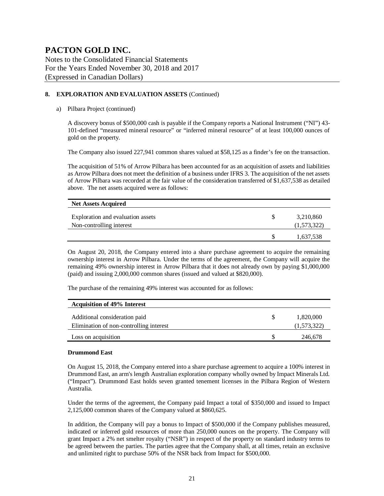Notes to the Consolidated Financial Statements For the Years Ended November 30, 2018 and 2017 (Expressed in Canadian Dollars)

#### **8. EXPLORATION AND EVALUATION ASSETS** (Continued)

#### a) Pilbara Project (continued)

A discovery bonus of \$500,000 cash is payable if the Company reports a National Instrument ("NI") 43- 101-defined "measured mineral resource" or "inferred mineral resource" of at least 100,000 ounces of gold on the property.

The Company also issued 227,941 common shares valued at \$58,125 as a finder's fee on the transaction.

The acquisition of 51% of Arrow Pilbara has been accounted for as an acquisition of assets and liabilities as Arrow Pilbara does not meet the definition of a business under IFRS 3. The acquisition of the net assets of Arrow Pilbara was recorded at the fair value of the consideration transferred of \$1,637,538 as detailed above. The net assets acquired were as follows:

### **Net Assets Acquired** Exploration and evaluation assets  $\qquad$  3,210,860 Non-controlling interest (1,573,322) \$ 1,637,538

On August 20, 2018, the Company entered into a share purchase agreement to acquire the remaining ownership interest in Arrow Pilbara. Under the terms of the agreement, the Company will acquire the remaining 49% ownership interest in Arrow Pilbara that it does not already own by paying \$1,000,000 (paid) and issuing 2,000,000 common shares (issued and valued at \$820,000).

The purchase of the remaining 49% interest was accounted for as follows:

| <b>Acquisition of 49% Interest</b>                                       |                          |
|--------------------------------------------------------------------------|--------------------------|
| Additional consideration paid<br>Elimination of non-controlling interest | 1,820,000<br>(1,573,322) |
| Loss on acquisition                                                      | 246,678                  |

#### **Drummond East**

On August 15, 2018, the Company entered into a share purchase agreement to acquire a 100% interest in Drummond East, an arm's length Australian exploration company wholly owned by Impact Minerals Ltd. ("Impact"). Drummond East holds seven granted tenement licenses in the Pilbara Region of Western Australia.

Under the terms of the agreement, the Company paid Impact a total of \$350,000 and issued to Impact 2,125,000 common shares of the Company valued at \$860,625.

In addition, the Company will pay a bonus to Impact of \$500,000 if the Company publishes measured, indicated or inferred gold resources of more than 250,000 ounces on the property. The Company will grant Impact a 2% net smelter royalty ("NSR") in respect of the property on standard industry terms to be agreed between the parties. The parties agree that the Company shall, at all times, retain an exclusive and unlimited right to purchase 50% of the NSR back from Impact for \$500,000.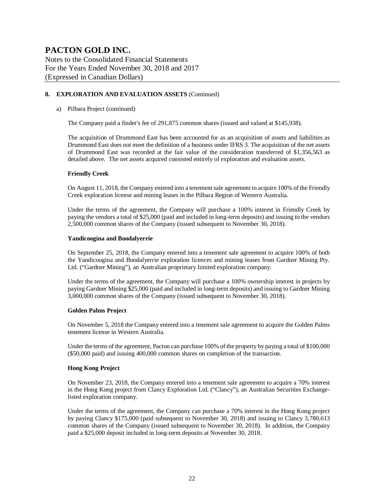Notes to the Consolidated Financial Statements For the Years Ended November 30, 2018 and 2017 (Expressed in Canadian Dollars)

#### **8. EXPLORATION AND EVALUATION ASSETS** (Continued)

#### a) Pilbara Project (continued)

The Company paid a finder's fee of 291,875 common shares (issued and valued at \$145,938).

The acquisition of Drummond East has been accounted for as an acquisition of assets and liabilities as Drummond East does not meet the definition of a business under IFRS 3. The acquisition of the net assets of Drummond East was recorded at the fair value of the consideration transferred of \$1,356,563 as detailed above. The net assets acquired consisted entirely of exploration and evaluation assets.

#### **Friendly Creek**

On August 11, 2018, the Company entered into a tenement sale agreement to acquire 100% of the Friendly Creek exploration license and mining leases in the Pilbara Region of Western Australia.

Under the terms of the agreement, the Company will purchase a 100% interest in Friendly Creek by paying the vendors a total of \$25,000 (paid and included in long-term deposits) and issuing to the vendors 2,500,000 common shares of the Company (issued subsequent to November 30, 2018).

#### **Yandicoogina and Boodalyerrie**

On September 25, 2018, the Company entered into a tenement sale agreement to acquire 100% of both the Yandicoogina and Boodalyerrie exploration licences and mining leases from Gardner Mining Pty. Ltd. ("Gardner Mining"), an Australian proprietary limited exploration company.

Under the terms of the agreement, the Company will purchase a 100% ownership interest in projects by paying Gardner Mining \$25,000 (paid and included in long-term deposits) and issuing to Gardner Mining 3,000,000 common shares of the Company (issued subsequent to November 30, 2018).

#### **Golden Palms Project**

On November 5, 2018 the Company entered into a tenement sale agreement to acquire the Golden Palms tenement license in Western Australia.

Under the terms of the agreement, Pacton can purchase 100% of the property by paying a total of \$100,000 (\$50,000 paid) and issuing 400,000 common shares on completion of the transaction.

#### **Hong Kong Project**

On November 23, 2018, the Company entered into a tenement sale agreement to acquire a 70% interest in the Hong Kong project from Clancy Exploration Ltd. ("Clancy"), an Australian Securities Exchangelisted exploration company.

Under the terms of the agreement, the Company can purchase a 70% interest in the Hong Kong project by paying Clancy \$175,000 (paid subsequent to November 30, 2018) and issuing to Clancy 3,780,613 common shares of the Company (issued subsequent to November 30, 2018). In addition, the Company paid a \$25,000 deposit included in long-term deposits at November 30, 2018.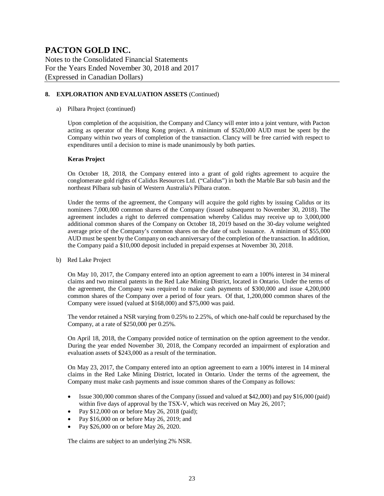Notes to the Consolidated Financial Statements For the Years Ended November 30, 2018 and 2017 (Expressed in Canadian Dollars)

#### **8. EXPLORATION AND EVALUATION ASSETS** (Continued)

#### a) Pilbara Project (continued)

Upon completion of the acquisition, the Company and Clancy will enter into a joint venture, with Pacton acting as operator of the Hong Kong project. A minimum of \$520,000 AUD must be spent by the Company within two years of completion of the transaction. Clancy will be free carried with respect to expenditures until a decision to mine is made unanimously by both parties.

#### **Keras Project**

On October 18, 2018, the Company entered into a grant of gold rights agreement to acquire the conglomerate gold rights of Calidus Resources Ltd. ("Calidus") in both the Marble Bar sub basin and the northeast Pilbara sub basin of Western Australia's Pilbara craton.

Under the terms of the agreement, the Company will acquire the gold rights by issuing Calidus or its nominees 7,000,000 common shares of the Company (issued subsequent to November 30, 2018). The agreement includes a right to deferred compensation whereby Calidus may receive up to 3,000,000 additional common shares of the Company on October 18, 2019 based on the 30-day volume weighted average price of the Company's common shares on the date of such issuance. A minimum of \$55,000 AUD must be spent by the Company on each anniversary of the completion of the transaction. In addition, the Company paid a \$10,000 deposit included in prepaid expenses at November 30, 2018.

b) Red Lake Project

On May 10, 2017, the Company entered into an option agreement to earn a 100% interest in 34 mineral claims and two mineral patents in the Red Lake Mining District, located in Ontario. Under the terms of the agreement, the Company was required to make cash payments of \$300,000 and issue 4,200,000 common shares of the Company over a period of four years. Of that, 1,200,000 common shares of the Company were issued (valued at \$168,000) and \$75,000 was paid.

The vendor retained a NSR varying from 0.25% to 2.25%, of which one-half could be repurchased by the Company, at a rate of \$250,000 per 0.25%.

On April 18, 2018, the Company provided notice of termination on the option agreement to the vendor. During the year ended November 30, 2018, the Company recorded an impairment of exploration and evaluation assets of \$243,000 as a result of the termination.

On May 23, 2017, the Company entered into an option agreement to earn a 100% interest in 14 mineral claims in the Red Lake Mining District, located in Ontario. Under the terms of the agreement, the Company must make cash payments and issue common shares of the Company as follows:

- Issue 300,000 common shares of the Company (issued and valued at \$42,000) and pay \$16,000 (paid) within five days of approval by the TSX-V, which was received on May 26, 2017;
- Pay \$12,000 on or before May 26, 2018 (paid);
- Pay \$16,000 on or before May 26, 2019; and
- Pay \$26,000 on or before May 26, 2020.

The claims are subject to an underlying 2% NSR.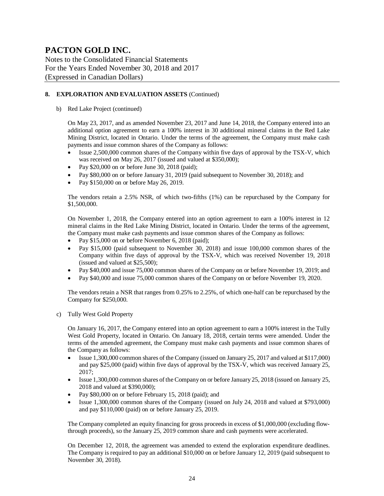Notes to the Consolidated Financial Statements For the Years Ended November 30, 2018 and 2017 (Expressed in Canadian Dollars)

#### **8. EXPLORATION AND EVALUATION ASSETS** (Continued)

b) Red Lake Project (continued)

On May 23, 2017, and as amended November 23, 2017 and June 14, 2018, the Company entered into an additional option agreement to earn a 100% interest in 30 additional mineral claims in the Red Lake Mining District, located in Ontario. Under the terms of the agreement, the Company must make cash payments and issue common shares of the Company as follows:

- Issue 2,500,000 common shares of the Company within five days of approval by the TSX-V, which was received on May 26, 2017 (issued and valued at \$350,000);
- Pay \$20,000 on or before June 30, 2018 (paid);
- Pay \$80,000 on or before January 31, 2019 (paid subsequent to November 30, 2018); and
- Pay \$150,000 on or before May 26, 2019.

The vendors retain a 2.5% NSR, of which two-fifths (1%) can be repurchased by the Company for \$1,500,000.

On November 1, 2018, the Company entered into an option agreement to earn a 100% interest in 12 mineral claims in the Red Lake Mining District, located in Ontario. Under the terms of the agreement, the Company must make cash payments and issue common shares of the Company as follows:

- Pay \$15,000 on or before November 6, 2018 (paid);
- Pay \$15,000 (paid subsequent to November 30, 2018) and issue 100,000 common shares of the Company within five days of approval by the TSX-V, which was received November 19, 2018 (issued and valued at \$25,500);
- Pay \$40,000 and issue 75,000 common shares of the Company on or before November 19, 2019; and
- Pay \$40,000 and issue 75,000 common shares of the Company on or before November 19, 2020.

The vendors retain a NSR that ranges from 0.25% to 2.25%, of which one-half can be repurchased by the Company for \$250,000.

c) Tully West Gold Property

On January 16, 2017, the Company entered into an option agreement to earn a 100% interest in the Tully West Gold Property, located in Ontario. On January 18, 2018, certain terms were amended. Under the terms of the amended agreement, the Company must make cash payments and issue common shares of the Company as follows:

- Issue 1,300,000 common shares of the Company (issued on January 25, 2017 and valued at \$117,000) and pay \$25,000 (paid) within five days of approval by the TSX-V, which was received January 25, 2017;
- Issue 1,300,000 common shares of the Company on or before January 25, 2018 (issued on January 25, 2018 and valued at \$390,000);
- Pay \$80,000 on or before February 15, 2018 (paid); and
- Issue 1,300,000 common shares of the Company (issued on July 24, 2018 and valued at \$793,000) and pay \$110,000 (paid) on or before January 25, 2019.

The Company completed an equity financing for gross proceeds in excess of \$1,000,000 (excluding flowthrough proceeds), so the January 25, 2019 common share and cash payments were accelerated.

On December 12, 2018, the agreement was amended to extend the exploration expenditure deadlines. The Company is required to pay an additional \$10,000 on or before January 12, 2019 (paid subsequent to November 30, 2018).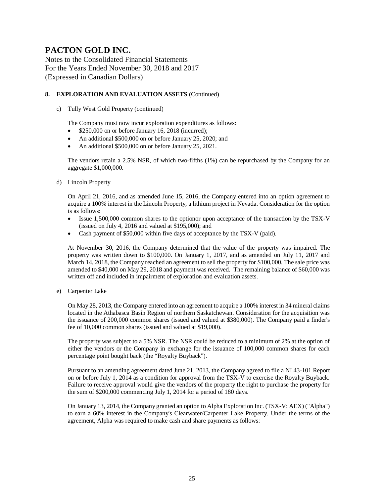Notes to the Consolidated Financial Statements For the Years Ended November 30, 2018 and 2017 (Expressed in Canadian Dollars)

#### **8. EXPLORATION AND EVALUATION ASSETS** (Continued)

c) Tully West Gold Property (continued)

The Company must now incur exploration expenditures as follows:

- \$250,000 on or before January 16, 2018 (incurred);
- An additional \$500,000 on or before January 25, 2020; and
- An additional \$500,000 on or before January 25, 2021.

The vendors retain a 2.5% NSR, of which two-fifths (1%) can be repurchased by the Company for an aggregate \$1,000,000.

d) Lincoln Property

On April 21, 2016, and as amended June 15, 2016, the Company entered into an option agreement to acquire a 100% interest in the Lincoln Property, a lithium project in Nevada. Consideration for the option is as follows:

- Issue 1,500,000 common shares to the optionor upon acceptance of the transaction by the TSX-V (issued on July 4, 2016 and valued at \$195,000); and
- Cash payment of \$50,000 within five days of acceptance by the TSX-V (paid).

At November 30, 2016, the Company determined that the value of the property was impaired. The property was written down to \$100,000. On January 1, 2017, and as amended on July 11, 2017 and March 14, 2018, the Company reached an agreement to sell the property for \$100,000. The sale price was amended to \$40,000 on May 29, 2018 and payment was received. The remaining balance of \$60,000 was written off and included in impairment of exploration and evaluation assets.

e) Carpenter Lake

On May 28, 2013, the Company entered into an agreement to acquire a 100% interest in 34 mineral claims located in the Athabasca Basin Region of northern Saskatchewan. Consideration for the acquisition was the issuance of 200,000 common shares (issued and valued at \$380,000). The Company paid a finder's fee of 10,000 common shares (issued and valued at \$19,000).

The property was subject to a 5% NSR. The NSR could be reduced to a minimum of 2% at the option of either the vendors or the Company in exchange for the issuance of 100,000 common shares for each percentage point bought back (the "Royalty Buyback").

Pursuant to an amending agreement dated June 21, 2013, the Company agreed to file a NI 43-101 Report on or before July 1, 2014 as a condition for approval from the TSX-V to exercise the Royalty Buyback. Failure to receive approval would give the vendors of the property the right to purchase the property for the sum of \$200,000 commencing July 1, 2014 for a period of 180 days.

On January 13, 2014, the Company granted an option to Alpha Exploration Inc. (TSX-V: AEX) ("Alpha") to earn a 60% interest in the Company's Clearwater/Carpenter Lake Property. Under the terms of the agreement, Alpha was required to make cash and share payments as follows: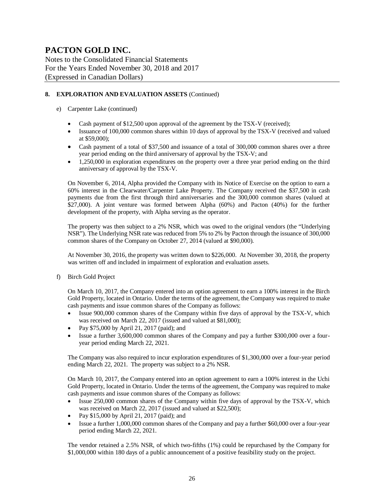Notes to the Consolidated Financial Statements For the Years Ended November 30, 2018 and 2017 (Expressed in Canadian Dollars)

#### **8. EXPLORATION AND EVALUATION ASSETS** (Continued)

- e) Carpenter Lake (continued)
	- Cash payment of \$12,500 upon approval of the agreement by the TSX-V (received);
	- Issuance of 100,000 common shares within 10 days of approval by the TSX-V (received and valued at \$59,000);
	- Cash payment of a total of \$37,500 and issuance of a total of 300,000 common shares over a three year period ending on the third anniversary of approval by the TSX-V; and
	- 1,250,000 in exploration expenditures on the property over a three year period ending on the third anniversary of approval by the TSX-V.

On November 6, 2014, Alpha provided the Company with its Notice of Exercise on the option to earn a 60% interest in the Clearwater/Carpenter Lake Property. The Company received the \$37,500 in cash payments due from the first through third anniversaries and the 300,000 common shares (valued at \$27,000). A joint venture was formed between Alpha (60%) and Pacton (40%) for the further development of the property, with Alpha serving as the operator.

The property was then subject to a 2% NSR, which was owed to the original vendors (the "Underlying NSR"). The Underlying NSR rate was reduced from 5% to 2% by Pacton through the issuance of 300,000 common shares of the Company on October 27, 2014 (valued at \$90,000).

At November 30, 2016, the property was written down to \$226,000. At November 30, 2018, the property was written off and included in impairment of exploration and evaluation assets.

f) Birch Gold Project

On March 10, 2017, the Company entered into an option agreement to earn a 100% interest in the Birch Gold Property, located in Ontario. Under the terms of the agreement, the Company was required to make cash payments and issue common shares of the Company as follows:

- Issue 900,000 common shares of the Company within five days of approval by the TSX-V, which was received on March 22, 2017 (issued and valued at \$81,000);
- Pay \$75,000 by April 21, 2017 (paid); and
- Issue a further 3,600,000 common shares of the Company and pay a further \$300,000 over a fouryear period ending March 22, 2021.

The Company was also required to incur exploration expenditures of \$1,300,000 over a four-year period ending March 22, 2021. The property was subject to a 2% NSR.

On March 10, 2017, the Company entered into an option agreement to earn a 100% interest in the Uchi Gold Property, located in Ontario. Under the terms of the agreement, the Company was required to make cash payments and issue common shares of the Company as follows:

- Issue 250,000 common shares of the Company within five days of approval by the TSX-V, which was received on March 22, 2017 (issued and valued at \$22,500);
- Pay \$15,000 by April 21, 2017 (paid); and
- Issue a further 1,000,000 common shares of the Company and pay a further \$60,000 over a four-year period ending March 22, 2021.

The vendor retained a 2.5% NSR, of which two-fifths (1%) could be repurchased by the Company for \$1,000,000 within 180 days of a public announcement of a positive feasibility study on the project.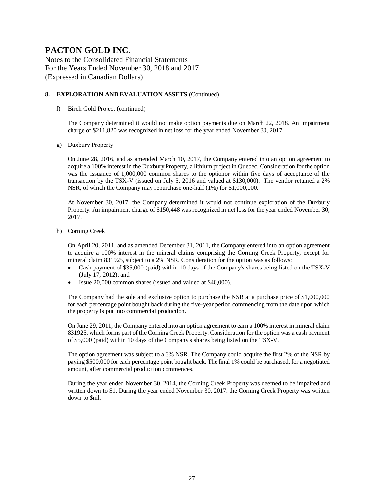Notes to the Consolidated Financial Statements For the Years Ended November 30, 2018 and 2017 (Expressed in Canadian Dollars)

#### **8. EXPLORATION AND EVALUATION ASSETS** (Continued)

#### f) Birch Gold Project (continued)

The Company determined it would not make option payments due on March 22, 2018. An impairment charge of \$211,820 was recognized in net loss for the year ended November 30, 2017.

g) Duxbury Property

On June 28, 2016, and as amended March 10, 2017, the Company entered into an option agreement to acquire a 100% interest in the Duxbury Property, a lithium project in Quebec. Consideration for the option was the issuance of 1,000,000 common shares to the optionor within five days of acceptance of the transaction by the TSX-V (issued on July 5, 2016 and valued at \$130,000). The vendor retained a 2% NSR, of which the Company may repurchase one-half (1%) for \$1,000,000.

At November 30, 2017, the Company determined it would not continue exploration of the Duxbury Property. An impairment charge of \$150,448 was recognized in net loss for the year ended November 30, 2017.

h) Corning Creek

On April 20, 2011, and as amended December 31, 2011, the Company entered into an option agreement to acquire a 100% interest in the mineral claims comprising the Corning Creek Property, except for mineral claim 831925, subject to a 2% NSR. Consideration for the option was as follows:

- Cash payment of \$35,000 (paid) within 10 days of the Company's shares being listed on the TSX-V (July 17, 2012); and
- Issue 20,000 common shares (issued and valued at \$40,000).

The Company had the sole and exclusive option to purchase the NSR at a purchase price of \$1,000,000 for each percentage point bought back during the five-year period commencing from the date upon which the property is put into commercial production.

On June 29, 2011, the Company entered into an option agreement to earn a 100% interest in mineral claim 831925, which forms part of the Corning Creek Property. Consideration for the option was a cash payment of \$5,000 (paid) within 10 days of the Company's shares being listed on the TSX-V.

The option agreement was subject to a 3% NSR. The Company could acquire the first 2% of the NSR by paying \$500,000 for each percentage point bought back. The final 1% could be purchased, for a negotiated amount, after commercial production commences.

During the year ended November 30, 2014, the Corning Creek Property was deemed to be impaired and written down to \$1. During the year ended November 30, 2017, the Corning Creek Property was written down to \$nil.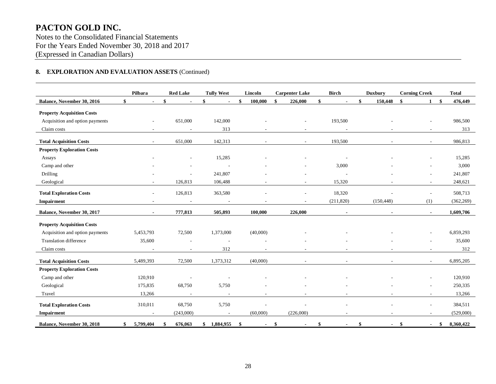Notes to the Consolidated Financial Statements For the Years Ended November 30, 2018 and 2017 (Expressed in Canadian Dollars)

#### **8. EXPLORATION AND EVALUATION ASSETS** (Continued)

|                                   | Pilbara                  | <b>Red Lake</b>          | <b>Tully West</b>        | Lincoln       | <b>Carpenter Lake</b>    | <b>Birch</b>             | <b>Duxbury</b>           | <b>Corning Creek</b>     | <b>Total</b>    |
|-----------------------------------|--------------------------|--------------------------|--------------------------|---------------|--------------------------|--------------------------|--------------------------|--------------------------|-----------------|
| Balance, November 30, 2016        | \$                       | \$                       | \$                       | 100,000<br>\$ | \$<br>226,000            | \$                       | \$<br>150,448            | \$<br>$\mathbf{1}$       | \$<br>476,449   |
| <b>Property Acquisition Costs</b> |                          |                          |                          |               |                          |                          |                          |                          |                 |
| Acquisition and option payments   |                          | 651,000                  | 142,000                  |               |                          | 193,500                  |                          |                          | 986,500         |
| Claim costs                       |                          |                          | 313                      |               |                          | $\sim$                   |                          |                          | 313             |
| <b>Total Acquisition Costs</b>    | $\sim$                   | 651,000                  | 142,313                  |               | $\sim$                   | 193,500                  |                          | $\overline{\phantom{a}}$ | 986,813         |
| <b>Property Exploration Costs</b> |                          |                          |                          |               |                          |                          |                          |                          |                 |
| Assays                            |                          |                          | 15,285                   |               |                          |                          |                          |                          | 15,285          |
| Camp and other                    |                          |                          |                          |               |                          | 3,000                    |                          |                          | 3,000           |
| Drilling                          |                          |                          | 241,807                  |               |                          |                          |                          |                          | 241,807         |
| Geological                        | $\overline{\phantom{a}}$ | 126,813                  | 106,488                  |               | $\sim$                   | 15,320                   |                          | $\overline{\phantom{a}}$ | 248,621         |
| <b>Total Exploration Costs</b>    | $\overline{\phantom{a}}$ | 126,813                  | 363,580                  |               |                          | 18,320                   |                          |                          | 508,713         |
| Impairment                        | $\sim$                   | $\overline{\phantom{a}}$ |                          |               | $\sim$                   | (211, 820)               | (150, 448)               | (1)                      | (362, 269)      |
| Balance, November 30, 2017        | $\blacksquare$           | 777,813                  | 505,893                  | 100,000       | 226,000                  | $\blacksquare$           |                          |                          | 1,609,706       |
| <b>Property Acquisition Costs</b> |                          |                          |                          |               |                          |                          |                          |                          |                 |
| Acquisition and option payments   | 5,453,793                | 72,500                   | 1,373,000                | (40,000)      |                          |                          |                          |                          | 6,859,293       |
| Translation difference            | 35,600                   |                          |                          |               |                          |                          |                          |                          | 35,600          |
| Claim costs                       | $\overline{a}$           | $\overline{\phantom{a}}$ | 312                      |               |                          |                          |                          |                          | 312             |
| <b>Total Acquisition Costs</b>    | 5,489,393                | 72,500                   | 1,373,312                | (40,000)      | $\overline{\phantom{a}}$ | $\sim$                   | $\overline{\phantom{a}}$ | $\sim$                   | 6,895,205       |
| <b>Property Exploration Costs</b> |                          |                          |                          |               |                          |                          |                          |                          |                 |
| Camp and other                    | 120,910                  |                          |                          |               |                          |                          |                          |                          | 120,910         |
| Geological                        | 175,835                  | 68,750                   | 5,750                    |               |                          |                          |                          |                          | 250,335         |
| Travel                            | 13,266                   | $\sim$                   | $\overline{\phantom{a}}$ | $\sim$        |                          | $\overline{\phantom{a}}$ |                          | $\overline{\phantom{a}}$ | 13,266          |
| <b>Total Exploration Costs</b>    | 310,011                  | 68,750                   | 5,750                    |               |                          |                          |                          | ÷,                       | 384,511         |
| Impairment                        | $\overline{\phantom{a}}$ | (243,000)                |                          | (60,000)      | (226,000)                | $\overline{\phantom{a}}$ | $\sim$                   | $\overline{\phantom{a}}$ | (529,000)       |
| Balance, November 30, 2018        | 5,799,404<br>\$          | 676,063<br>\$            | 1,884,955<br>\$          | \$<br>$\sim$  | \$<br>$\sim$             | \$<br>$\blacksquare$     | \$<br>$\sim$             | \$<br>$\blacksquare$     | \$<br>8,360,422 |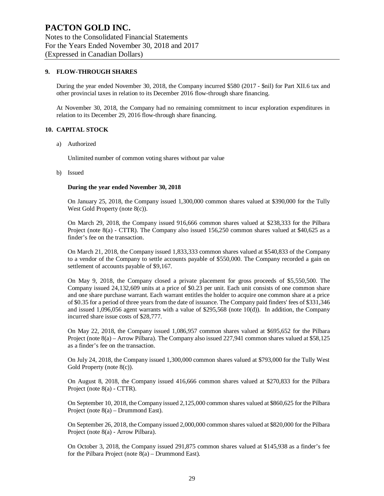#### **9. FLOW-THROUGH SHARES**

During the year ended November 30, 2018, the Company incurred \$580 (2017 - \$nil) for Part XII.6 tax and other provincial taxes in relation to its December 2016 flow-through share financing.

At November 30, 2018, the Company had no remaining commitment to incur exploration expenditures in relation to its December 29, 2016 flow-through share financing.

#### **10. CAPITAL STOCK**

a) Authorized

Unlimited number of common voting shares without par value

b) Issued

#### **During the year ended November 30, 2018**

On January 25, 2018, the Company issued 1,300,000 common shares valued at \$390,000 for the Tully West Gold Property (note 8(c)).

On March 29, 2018, the Company issued 916,666 common shares valued at \$238,333 for the Pilbara Project (note 8(a) - CTTR). The Company also issued 156,250 common shares valued at \$40,625 as a finder's fee on the transaction.

On March 21, 2018, the Company issued 1,833,333 common shares valued at \$540,833 of the Company to a vendor of the Company to settle accounts payable of \$550,000. The Company recorded a gain on settlement of accounts payable of \$9,167.

On May 9, 2018, the Company closed a private placement for gross proceeds of \$5,550,500. The Company issued 24,132,609 units at a price of \$0.23 per unit. Each unit consists of one common share and one share purchase warrant. Each warrant entitles the holder to acquire one common share at a price of \$0.35 for a period of three years from the date of issuance. The Company paid finders' fees of \$331,346 and issued 1,096,056 agent warrants with a value of \$295,568 (note 10(d)). In addition, the Company incurred share issue costs of \$28,777.

On May 22, 2018, the Company issued 1,086,957 common shares valued at \$695,652 for the Pilbara Project (note 8(a) – Arrow Pilbara). The Company also issued 227,941 common shares valued at \$58,125 as a finder's fee on the transaction.

On July 24, 2018, the Company issued 1,300,000 common shares valued at \$793,000 for the Tully West Gold Property (note  $8(c)$ ).

On August 8, 2018, the Company issued 416,666 common shares valued at \$270,833 for the Pilbara Project (note 8(a) - CTTR).

On September 10, 2018, the Company issued 2,125,000 common shares valued at \$860,625 for the Pilbara Project (note 8(a) – Drummond East).

On September 26, 2018, the Company issued 2,000,000 common shares valued at \$820,000 for the Pilbara Project (note 8(a) - Arrow Pilbara).

On October 3, 2018, the Company issued 291,875 common shares valued at \$145,938 as a finder's fee for the Pilbara Project (note 8(a) – Drummond East).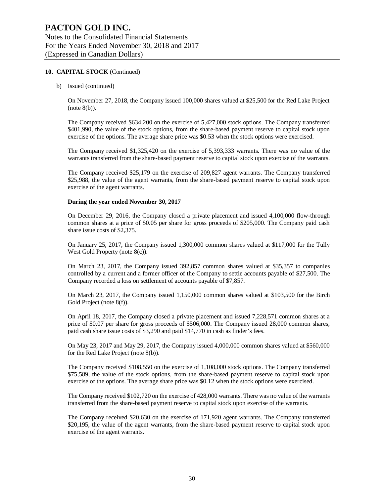#### **10. CAPITAL STOCK** (Continued)

b) Issued (continued)

On November 27, 2018, the Company issued 100,000 shares valued at \$25,500 for the Red Lake Project (note 8(b)).

The Company received \$634,200 on the exercise of 5,427,000 stock options. The Company transferred \$401,990, the value of the stock options, from the share-based payment reserve to capital stock upon exercise of the options. The average share price was \$0.53 when the stock options were exercised.

The Company received \$1,325,420 on the exercise of 5,393,333 warrants. There was no value of the warrants transferred from the share-based payment reserve to capital stock upon exercise of the warrants.

The Company received \$25,179 on the exercise of 209,827 agent warrants. The Company transferred \$25,988, the value of the agent warrants, from the share-based payment reserve to capital stock upon exercise of the agent warrants.

#### **During the year ended November 30, 2017**

On December 29, 2016, the Company closed a private placement and issued 4,100,000 flow-through common shares at a price of \$0.05 per share for gross proceeds of \$205,000. The Company paid cash share issue costs of \$2,375.

On January 25, 2017, the Company issued 1,300,000 common shares valued at \$117,000 for the Tully West Gold Property (note 8(c)).

On March 23, 2017, the Company issued 392,857 common shares valued at \$35,357 to companies controlled by a current and a former officer of the Company to settle accounts payable of \$27,500. The Company recorded a loss on settlement of accounts payable of \$7,857.

On March 23, 2017, the Company issued 1,150,000 common shares valued at \$103,500 for the Birch Gold Project (note 8(f)).

On April 18, 2017, the Company closed a private placement and issued 7,228,571 common shares at a price of \$0.07 per share for gross proceeds of \$506,000. The Company issued 28,000 common shares, paid cash share issue costs of \$3,290 and paid \$14,770 in cash as finder's fees.

On May 23, 2017 and May 29, 2017, the Company issued 4,000,000 common shares valued at \$560,000 for the Red Lake Project (note 8(b)).

The Company received \$108,550 on the exercise of 1,108,000 stock options. The Company transferred \$75,589, the value of the stock options, from the share-based payment reserve to capital stock upon exercise of the options. The average share price was \$0.12 when the stock options were exercised.

The Company received \$102,720 on the exercise of 428,000 warrants. There was no value of the warrants transferred from the share-based payment reserve to capital stock upon exercise of the warrants.

The Company received \$20,630 on the exercise of 171,920 agent warrants. The Company transferred \$20,195, the value of the agent warrants, from the share-based payment reserve to capital stock upon exercise of the agent warrants.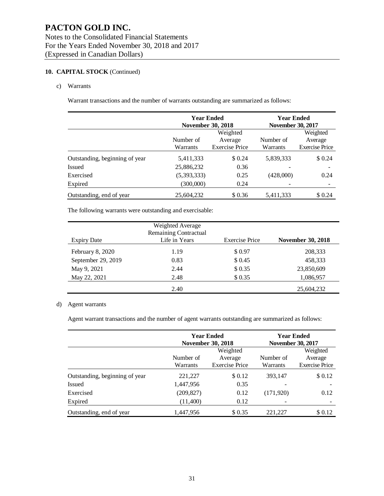### **PACTON GOLD INC.** Notes to the Consolidated Financial Statements For the Years Ended November 30, 2018 and 2017 (Expressed in Canadian Dollars)

#### **10. CAPITAL STOCK** (Continued)

#### c) Warrants

Warrant transactions and the number of warrants outstanding are summarized as follows:

|                                | <b>Year Ended</b><br><b>November 30, 2018</b>                                                  |        | <b>Year Ended</b><br><b>November 30, 2017</b> |         |  |  |
|--------------------------------|------------------------------------------------------------------------------------------------|--------|-----------------------------------------------|---------|--|--|
|                                | Weighted<br>Number of<br>Number of<br>Average<br><b>Exercise Price</b><br>Warrants<br>Warrants |        |                                               |         |  |  |
| Outstanding, beginning of year | 5,411,333                                                                                      | \$0.24 | 5,839,333                                     | \$0.24  |  |  |
| <b>Issued</b>                  | 25,886,232                                                                                     | 0.36   |                                               |         |  |  |
| Exercised                      | (5,393,333)                                                                                    | 0.25   | (428,000)                                     | 0.24    |  |  |
| Expired                        | (300,000)                                                                                      | 0.24   |                                               |         |  |  |
| Outstanding, end of year       | 25,604,232                                                                                     | \$0.36 | 5,411,333                                     | \$ 0.24 |  |  |

The following warrants were outstanding and exercisable:

| <b>Expiry Date</b> | Weighted Average<br><b>Remaining Contractual</b><br>Life in Years | Exercise Price | <b>November 30, 2018</b> |
|--------------------|-------------------------------------------------------------------|----------------|--------------------------|
|                    |                                                                   |                |                          |
| February 8, 2020   | 1.19                                                              | \$ 0.97        | 208,333                  |
| September 29, 2019 | 0.83                                                              | \$ 0.45        | 458,333                  |
| May 9, 2021        | 2.44                                                              | \$ 0.35        | 23,850,609               |
| May 22, 2021       | 2.48                                                              | \$0.35         | 1,086,957                |
|                    | 2.40                                                              |                | 25,604,232               |

#### d) Agent warrants

Agent warrant transactions and the number of agent warrants outstanding are summarized as follows:

|                                |                       | <b>Year Ended</b><br><b>November 30, 2018</b> | <b>November 30, 2017</b> | <b>Year Ended</b>                            |  |
|--------------------------------|-----------------------|-----------------------------------------------|--------------------------|----------------------------------------------|--|
|                                | Number of<br>Warrants | Weighted<br>Average<br><b>Exercise Price</b>  | Number of<br>Warrants    | Weighted<br>Average<br><b>Exercise Price</b> |  |
| Outstanding, beginning of year | 221,227               | \$ 0.12                                       | 393,147                  | \$0.12                                       |  |
| <b>Issued</b>                  | 1,447,956             | 0.35                                          | $\overline{\phantom{0}}$ |                                              |  |
| Exercised                      | (209, 827)            | 0.12                                          | (171,920)                | 0.12                                         |  |
| Expired                        | (11,400)              | 0.12                                          |                          |                                              |  |
| Outstanding, end of year       | 1,447,956             | \$0.35                                        | 221,227                  | \$0.12                                       |  |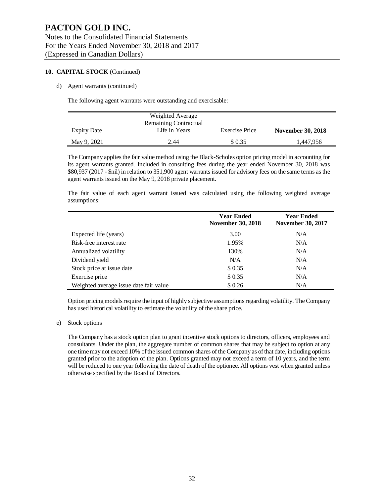#### **10. CAPITAL STOCK** (Continued)

d) Agent warrants (continued)

The following agent warrants were outstanding and exercisable:

|                    | Weighted Average                              |                |                          |
|--------------------|-----------------------------------------------|----------------|--------------------------|
| <b>Expiry Date</b> | <b>Remaining Contractual</b><br>Life in Years | Exercise Price | <b>November 30, 2018</b> |
|                    | 2.44                                          | \$0.35         | 1,447,956                |
| May 9, 2021        |                                               |                |                          |

The Company applies the fair value method using the Black-Scholes option pricing model in accounting for its agent warrants granted. Included in consulting fees during the year ended November 30, 2018 was \$80,937 (2017 - \$nil) in relation to 351,900 agent warrants issued for advisory fees on the same terms as the agent warrants issued on the May 9, 2018 private placement.

The fair value of each agent warrant issued was calculated using the following weighted average assumptions:

|                                        | <b>Year Ended</b><br><b>November 30, 2018</b> | <b>Year Ended</b><br><b>November 30, 2017</b> |
|----------------------------------------|-----------------------------------------------|-----------------------------------------------|
| Expected life (years)                  | 3.00                                          | N/A                                           |
| Risk-free interest rate                | 1.95%                                         | N/A                                           |
| Annualized volatility                  | 130%                                          | N/A                                           |
| Dividend yield                         | N/A                                           | N/A                                           |
| Stock price at issue date              | \$0.35                                        | N/A                                           |
| Exercise price                         | \$0.35                                        | N/A                                           |
| Weighted average issue date fair value | \$0.26                                        | N/A                                           |

Option pricing models require the input of highly subjective assumptions regarding volatility. The Company has used historical volatility to estimate the volatility of the share price.

#### e) Stock options

The Company has a stock option plan to grant incentive stock options to directors, officers, employees and consultants. Under the plan, the aggregate number of common shares that may be subject to option at any one time may not exceed 10% of the issued common shares of the Company as of that date, including options granted prior to the adoption of the plan. Options granted may not exceed a term of 10 years, and the term will be reduced to one year following the date of death of the optionee. All options vest when granted unless otherwise specified by the Board of Directors.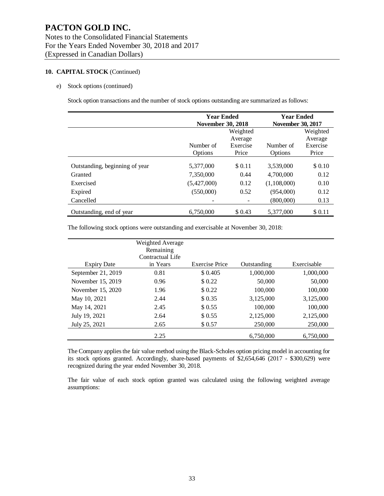#### **10. CAPITAL STOCK** (Continued)

#### e) Stock options (continued)

Stock option transactions and the number of stock options outstanding are summarized as follows:

|                                | <b>Year Ended</b><br><b>November 30, 2018</b> |          | <b>Year Ended</b><br><b>November 30, 2017</b> |          |  |
|--------------------------------|-----------------------------------------------|----------|-----------------------------------------------|----------|--|
|                                |                                               | Weighted |                                               | Weighted |  |
|                                |                                               | Average  |                                               | Average  |  |
|                                | Number of                                     | Exercise | Number of                                     | Exercise |  |
|                                | Options                                       | Price    | <b>Options</b>                                | Price    |  |
| Outstanding, beginning of year | 5,377,000                                     | \$ 0.11  | 3,539,000                                     | \$0.10   |  |
| Granted                        | 7,350,000                                     | 0.44     | 4,700,000                                     | 0.12     |  |
| Exercised                      | (5,427,000)                                   | 0.12     | (1,108,000)                                   | 0.10     |  |
| Expired                        | (550,000)                                     | 0.52     | (954,000)                                     | 0.12     |  |
| Cancelled                      |                                               |          | (800,000)                                     | 0.13     |  |
| Outstanding, end of year       | 6,750,000                                     | \$ 0.43  | 5,377,000                                     | \$ 0.11  |  |

The following stock options were outstanding and exercisable at November 30, 2018:

|                    | Weighted Average<br>Remaining<br>Contractual Life |                       |             |             |
|--------------------|---------------------------------------------------|-----------------------|-------------|-------------|
| <b>Expiry Date</b> | in Years                                          | <b>Exercise Price</b> | Outstanding | Exercisable |
| September 21, 2019 | 0.81                                              | \$ 0.405              | 1,000,000   | 1,000,000   |
| November 15, 2019  | 0.96                                              | \$ 0.22               | 50,000      | 50,000      |
| November 15, 2020  | 1.96                                              | \$0.22                | 100,000     | 100,000     |
| May 10, 2021       | 2.44                                              | \$0.35                | 3,125,000   | 3,125,000   |
| May 14, 2021       | 2.45                                              | \$0.55                | 100,000     | 100,000     |
| July 19, 2021      | 2.64                                              | \$0.55                | 2,125,000   | 2,125,000   |
| July 25, 2021      | 2.65                                              | \$0.57                | 250,000     | 250,000     |
|                    | 2.25                                              |                       | 6,750,000   | 6,750,000   |

The Company applies the fair value method using the Black-Scholes option pricing model in accounting for its stock options granted. Accordingly, share-based payments of \$2,654,646 (2017 - \$300,629) were recognized during the year ended November 30, 2018.

The fair value of each stock option granted was calculated using the following weighted average assumptions: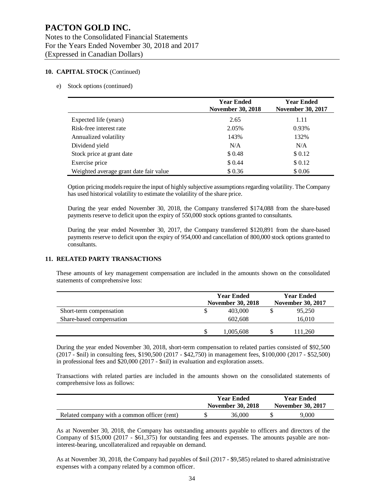Notes to the Consolidated Financial Statements For the Years Ended November 30, 2018 and 2017 (Expressed in Canadian Dollars)

#### **10. CAPITAL STOCK** (Continued)

#### e) Stock options (continued)

|                                        | <b>Year Ended</b><br><b>November 30, 2018</b> | <b>Year Ended</b><br><b>November 30, 2017</b> |
|----------------------------------------|-----------------------------------------------|-----------------------------------------------|
| Expected life (years)                  | 2.65                                          | 1.11                                          |
| Risk-free interest rate                | 2.05%                                         | 0.93%                                         |
| Annualized volatility                  | 143%                                          | 132%                                          |
| Dividend yield                         | N/A                                           | N/A                                           |
| Stock price at grant date              | \$0.48                                        | \$0.12                                        |
| Exercise price                         | \$ 0.44                                       | \$0.12                                        |
| Weighted average grant date fair value | \$0.36                                        | \$0.06                                        |

Option pricing models require the input of highly subjective assumptions regarding volatility. The Company has used historical volatility to estimate the volatility of the share price.

During the year ended November 30, 2018, the Company transferred \$174,088 from the share-based payments reserve to deficit upon the expiry of 550,000 stock options granted to consultants.

During the year ended November 30, 2017, the Company transferred \$120,891 from the share-based payments reserve to deficit upon the expiry of 954,000 and cancellation of 800,000 stock options granted to consultants.

#### **11. RELATED PARTY TRANSACTIONS**

These amounts of key management compensation are included in the amounts shown on the consolidated statements of comprehensive loss:

|                          | <b>Year Ended</b><br><b>November 30, 2018</b> | <b>Year Ended</b><br><b>November 30, 2017</b> |         |  |
|--------------------------|-----------------------------------------------|-----------------------------------------------|---------|--|
| Short-term compensation  | \$<br>403,000                                 |                                               | 95.250  |  |
| Share-based compensation | 602.608                                       |                                               | 16.010  |  |
|                          | \$<br>1,005,608                               |                                               | 111.260 |  |

During the year ended November 30, 2018, short-term compensation to related parties consisted of \$92,500 (2017 - \$nil) in consulting fees, \$190,500 (2017 - \$42,750) in management fees, \$100,000 (2017 - \$52,500) in professional fees and \$20,000 (2017 - \$nil) in evaluation and exploration assets.

Transactions with related parties are included in the amounts shown on the consolidated statements of comprehensive loss as follows:

|                                              | <b>Year Ended</b><br><b>November 30, 2018</b> | <b>Year Ended</b><br><b>November 30, 2017</b> |       |  |
|----------------------------------------------|-----------------------------------------------|-----------------------------------------------|-------|--|
| Related company with a common officer (rent) | 36.000                                        |                                               | 9.000 |  |

As at November 30, 2018, the Company has outstanding amounts payable to officers and directors of the Company of \$15,000 (2017 - \$61,375) for outstanding fees and expenses. The amounts payable are noninterest-bearing, uncollateralized and repayable on demand.

As at November 30, 2018, the Company had payables of \$nil (2017 - \$9,585) related to shared administrative expenses with a company related by a common officer.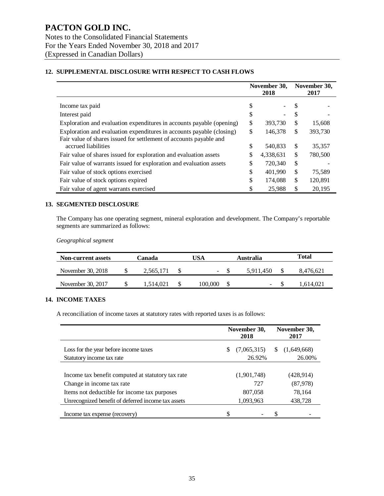#### **12. SUPPLEMENTAL DISCLOSURE WITH RESPECT TO CASH FLOWS**

|                                                                                                                                             | November 30,<br>2018 | November 30,<br>2017 |         |
|---------------------------------------------------------------------------------------------------------------------------------------------|----------------------|----------------------|---------|
| Income tax paid                                                                                                                             | \$                   | S                    |         |
| Interest paid                                                                                                                               | \$                   | \$                   |         |
| Exploration and evaluation expenditures in accounts payable (opening)                                                                       | \$<br>393,730        | S                    | 15,608  |
| Exploration and evaluation expenditures in accounts payable (closing)<br>Fair value of shares issued for settlement of accounts payable and | \$<br>146,378        | \$                   | 393,730 |
| accrued liabilities                                                                                                                         | \$<br>540,833        | S                    | 35,357  |
| Fair value of shares issued for exploration and evaluation assets                                                                           | \$<br>4,338,631      | \$                   | 780,500 |
| Fair value of warrants issued for exploration and evaluation assets                                                                         | \$<br>720,340        | \$                   |         |
| Fair value of stock options exercised                                                                                                       | \$<br>401,990        | \$                   | 75,589  |
| Fair value of stock options expired                                                                                                         | \$<br>174,088        | \$                   | 120,891 |
| Fair value of agent warrants exercised                                                                                                      | \$<br>25,988         | \$                   | 20,195  |

#### **13. SEGMENTED DISCLOSURE**

The Company has one operating segment, mineral exploration and development. The Company's reportable segments are summarized as follows:

#### *Geographical segment*

| <b>Non-current assets</b> | Canada    | USA |         | <b>Australia</b> | Total     |
|---------------------------|-----------|-----|---------|------------------|-----------|
| November 30, 2018         | 2,565,171 |     | $\sim$  | 5.911.450        | 8,476,621 |
| November 30, 2017         | 1,514,021 |     | 100,000 | -                | 1.614.021 |

#### **14. INCOME TAXES**

A reconciliation of income taxes at statutory rates with reported taxes is as follows:

|                                                                                     | November 30,<br>2018 |                       | November 30,<br>2017 |                       |
|-------------------------------------------------------------------------------------|----------------------|-----------------------|----------------------|-----------------------|
| Loss for the year before income taxes<br>Statutory income tax rate                  |                      | (7,065,315)<br>26.92% | \$.                  | (1,649,668)<br>26.00% |
| Income tax benefit computed at statutory tax rate                                   |                      | (1,901,748)           |                      | (428,914)             |
| Change in income tax rate<br>Items not deductible for income tax purposes           |                      | 727<br>807,058        |                      | (87,978)<br>78,164    |
| Unrecognized benefit of deferred income tax assets<br>Income tax expense (recovery) | \$                   | 1,093,963             | S                    | 438,728               |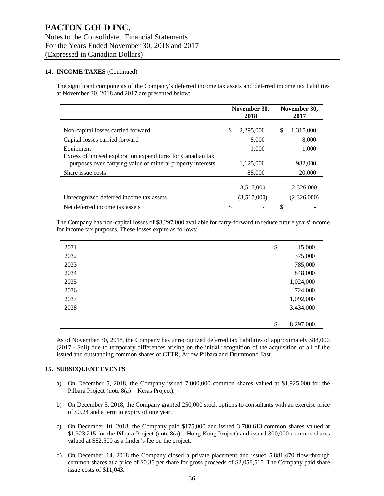Notes to the Consolidated Financial Statements For the Years Ended November 30, 2018 and 2017 (Expressed in Canadian Dollars)

#### **14. INCOME TAXES** (Continued)

The significant components of the Company's deferred income tax assets and deferred income tax liabilities at November 30, 2018 and 2017 are presented below:

|                                                                         | November 30,<br>2018 | November 30,<br>2017 |
|-------------------------------------------------------------------------|----------------------|----------------------|
| Non-capital losses carried forward                                      | \$<br>2,295,000      | \$<br>1,315,000      |
| Capital losses carried forward                                          | 8,000                | 8,000                |
| Equipment<br>Excess of unused exploration expenditures for Canadian tax | 1,000                | 1,000                |
| purposes over carrying value of mineral property interests              | 1,125,000            | 982,000              |
| Share issue costs                                                       | 88,000               | 20,000               |
|                                                                         | 3,517,000            | 2,326,000            |
| Unrecognized deferred income tax assets                                 | (3,517,000)          | (2,326,000)          |
| Net deferred income tax assets                                          | \$                   |                      |

The Company has non-capital losses of \$8,297,000 available for carry-forward to reduce future years' income for income tax purposes. These losses expire as follows:

| 2031 | \$<br>15,000    |
|------|-----------------|
| 2032 | 375,000         |
| 2033 | 785,000         |
| 2034 | 848,000         |
| 2035 | 1,024,000       |
| 2036 | 724,000         |
| 2037 | 1,092,000       |
| 2038 | 3,434,000       |
|      |                 |
|      | \$<br>8,297,000 |

As of November 30, 2018, the Company has unrecognized deferred tax liabilities of approximately \$88,000 (2017 - \$nil) due to temporary differences arising on the initial recognition of the acquisition of all of the issued and outstanding common shares of CTTR, Arrow Pilbara and Drummond East.

#### **15. SUBSEQUENT EVENTS**

- a) On December 5, 2018, the Company issued 7,000,000 common shares valued at \$1,925,000 for the Pilbara Project (note 8(a) – Keras Project).
- b) On December 5, 2018, the Company granted 250,000 stock options to consultants with an exercise price of \$0.24 and a term to expiry of one year.
- c) On December 10, 2018, the Company paid \$175,000 and issued 3,780,613 common shares valued at \$1,323,215 for the Pilbara Project (note 8(a) – Hong Kong Project) and issued 300,000 common shares valued at \$82,500 as a finder's fee on the project.
- d) On December 14, 2018 the Company closed a private placement and issued 5,881,470 flow-through common shares at a price of \$0.35 per share for gross proceeds of \$2,058,515. The Company paid share issue costs of \$11,043.